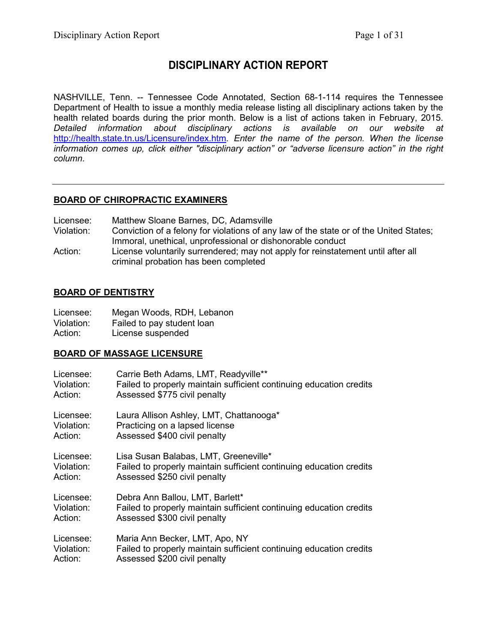# **DISCIPLINARY ACTION REPORT**

NASHVILLE, Tenn. -- Tennessee Code Annotated, Section 68-1-114 requires the Tennessee Department of Health to issue a monthly media release listing all disciplinary actions taken by the health related boards during the prior month. Below is a list of actions taken in February, 2015. *Detailed information about disciplinary actions is available on our website at*  <http://health.state.tn.us/Licensure/index.htm>*. Enter the name of the person. When the license information comes up, click either "disciplinary action" or "adverse licensure action" in the right column.*

# **BOARD OF CHIROPRACTIC EXAMINERS**

| Licensee:<br>Matthew Sloane Barnes, DC, Adamsville |  |
|----------------------------------------------------|--|
|----------------------------------------------------|--|

- Violation: Conviction of a felony for violations of any law of the state or of the United States; Immoral, unethical, unprofessional or dishonorable conduct
- Action: License voluntarily surrendered; may not apply for reinstatement until after all criminal probation has been completed

#### **BOARD OF DENTISTRY**

| Licensee:  | Megan Woods, RDH, Lebanon  |
|------------|----------------------------|
| Violation: | Failed to pay student loan |
| Action:    | License suspended          |

# **BOARD OF MASSAGE LICENSURE**

| Licensee:  | Carrie Beth Adams, LMT, Readyville**                                |
|------------|---------------------------------------------------------------------|
| Violation: | Failed to properly maintain sufficient continuing education credits |
| Action:    | Assessed \$775 civil penalty                                        |
| Licensee:  | Laura Allison Ashley, LMT, Chattanooga*                             |
| Violation: | Practicing on a lapsed license                                      |
| Action:    | Assessed \$400 civil penalty                                        |
| Licensee:  | Lisa Susan Balabas, LMT, Greeneville*                               |
| Violation: | Failed to properly maintain sufficient continuing education credits |
| Action:    | Assessed \$250 civil penalty                                        |
| Licensee:  | Debra Ann Ballou, LMT, Barlett*                                     |
| Violation: | Failed to properly maintain sufficient continuing education credits |
| Action:    | Assessed \$300 civil penalty                                        |
| Licensee:  | Maria Ann Becker, LMT, Apo, NY                                      |
| Violation: | Failed to properly maintain sufficient continuing education credits |
| Action:    | Assessed \$200 civil penalty                                        |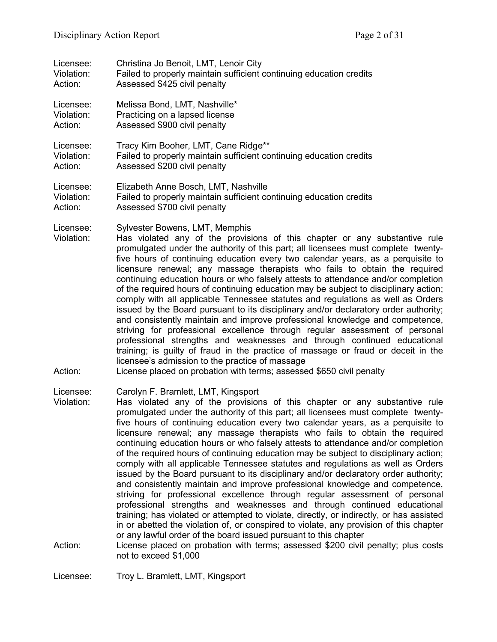| Licensee:                          | Christina Jo Benoit, LMT, Lenoir City                                                                                                                                                                                                                                                                                                                                                                                                                                                                                                                                                                                                                                                                                                                                                                                                                                                                                                                                                                                                                                                                                                                                                                                                                                                                                   |
|------------------------------------|-------------------------------------------------------------------------------------------------------------------------------------------------------------------------------------------------------------------------------------------------------------------------------------------------------------------------------------------------------------------------------------------------------------------------------------------------------------------------------------------------------------------------------------------------------------------------------------------------------------------------------------------------------------------------------------------------------------------------------------------------------------------------------------------------------------------------------------------------------------------------------------------------------------------------------------------------------------------------------------------------------------------------------------------------------------------------------------------------------------------------------------------------------------------------------------------------------------------------------------------------------------------------------------------------------------------------|
| Violation:                         | Failed to properly maintain sufficient continuing education credits                                                                                                                                                                                                                                                                                                                                                                                                                                                                                                                                                                                                                                                                                                                                                                                                                                                                                                                                                                                                                                                                                                                                                                                                                                                     |
| Action:                            | Assessed \$425 civil penalty                                                                                                                                                                                                                                                                                                                                                                                                                                                                                                                                                                                                                                                                                                                                                                                                                                                                                                                                                                                                                                                                                                                                                                                                                                                                                            |
| Licensee:                          | Melissa Bond, LMT, Nashville*                                                                                                                                                                                                                                                                                                                                                                                                                                                                                                                                                                                                                                                                                                                                                                                                                                                                                                                                                                                                                                                                                                                                                                                                                                                                                           |
| Violation:                         | Practicing on a lapsed license                                                                                                                                                                                                                                                                                                                                                                                                                                                                                                                                                                                                                                                                                                                                                                                                                                                                                                                                                                                                                                                                                                                                                                                                                                                                                          |
| Action:                            | Assessed \$900 civil penalty                                                                                                                                                                                                                                                                                                                                                                                                                                                                                                                                                                                                                                                                                                                                                                                                                                                                                                                                                                                                                                                                                                                                                                                                                                                                                            |
| Licensee:                          | Tracy Kim Booher, LMT, Cane Ridge**                                                                                                                                                                                                                                                                                                                                                                                                                                                                                                                                                                                                                                                                                                                                                                                                                                                                                                                                                                                                                                                                                                                                                                                                                                                                                     |
| Violation:                         | Failed to properly maintain sufficient continuing education credits                                                                                                                                                                                                                                                                                                                                                                                                                                                                                                                                                                                                                                                                                                                                                                                                                                                                                                                                                                                                                                                                                                                                                                                                                                                     |
| Action:                            | Assessed \$200 civil penalty                                                                                                                                                                                                                                                                                                                                                                                                                                                                                                                                                                                                                                                                                                                                                                                                                                                                                                                                                                                                                                                                                                                                                                                                                                                                                            |
| Licensee:                          | Elizabeth Anne Bosch, LMT, Nashville                                                                                                                                                                                                                                                                                                                                                                                                                                                                                                                                                                                                                                                                                                                                                                                                                                                                                                                                                                                                                                                                                                                                                                                                                                                                                    |
| Violation:                         | Failed to properly maintain sufficient continuing education credits                                                                                                                                                                                                                                                                                                                                                                                                                                                                                                                                                                                                                                                                                                                                                                                                                                                                                                                                                                                                                                                                                                                                                                                                                                                     |
| Action:                            | Assessed \$700 civil penalty                                                                                                                                                                                                                                                                                                                                                                                                                                                                                                                                                                                                                                                                                                                                                                                                                                                                                                                                                                                                                                                                                                                                                                                                                                                                                            |
| Licensee:<br>Violation:<br>Action: | Sylvester Bowens, LMT, Memphis<br>Has violated any of the provisions of this chapter or any substantive rule<br>promulgated under the authority of this part; all licensees must complete twenty-<br>five hours of continuing education every two calendar years, as a perquisite to<br>licensure renewal; any massage therapists who fails to obtain the required<br>continuing education hours or who falsely attests to attendance and/or completion<br>of the required hours of continuing education may be subject to disciplinary action;<br>comply with all applicable Tennessee statutes and regulations as well as Orders<br>issued by the Board pursuant to its disciplinary and/or declaratory order authority;<br>and consistently maintain and improve professional knowledge and competence,<br>striving for professional excellence through regular assessment of personal<br>professional strengths and weaknesses and through continued educational<br>training; is guilty of fraud in the practice of massage or fraud or deceit in the<br>licensee's admission to the practice of massage<br>License placed on probation with terms; assessed \$650 civil penalty                                                                                                                                    |
| Licensee:<br>Violation:<br>Action: | Carolyn F. Bramlett, LMT, Kingsport<br>Has violated any of the provisions of this chapter or any substantive rule<br>promulgated under the authority of this part; all licensees must complete twenty-<br>five hours of continuing education every two calendar years, as a perquisite to<br>licensure renewal; any massage therapists who fails to obtain the required<br>continuing education hours or who falsely attests to attendance and/or completion<br>of the required hours of continuing education may be subject to disciplinary action;<br>comply with all applicable Tennessee statutes and regulations as well as Orders<br>issued by the Board pursuant to its disciplinary and/or declaratory order authority;<br>and consistently maintain and improve professional knowledge and competence,<br>striving for professional excellence through regular assessment of personal<br>professional strengths and weaknesses and through continued educational<br>training; has violated or attempted to violate, directly, or indirectly, or has assisted<br>in or abetted the violation of, or conspired to violate, any provision of this chapter<br>or any lawful order of the board issued pursuant to this chapter<br>License placed on probation with terms; assessed \$200 civil penalty; plus costs |
|                                    | not to exceed \$1,000                                                                                                                                                                                                                                                                                                                                                                                                                                                                                                                                                                                                                                                                                                                                                                                                                                                                                                                                                                                                                                                                                                                                                                                                                                                                                                   |

Licensee: Troy L. Bramlett, LMT, Kingsport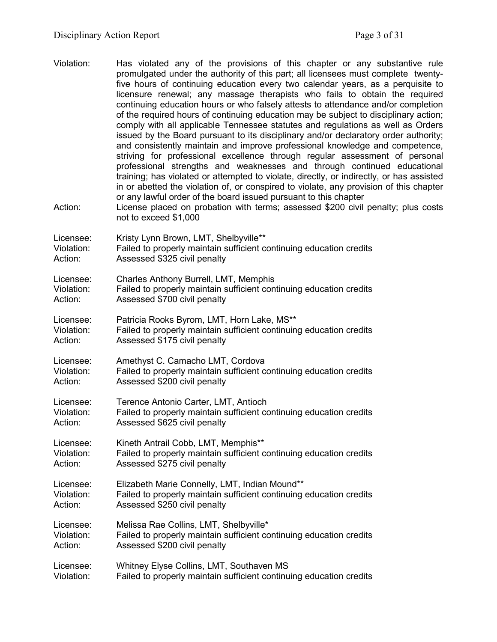- Violation: Has violated any of the provisions of this chapter or any substantive rule promulgated under the authority of this part; all licensees must complete twentyfive hours of continuing education every two calendar years, as a perquisite to licensure renewal; any massage therapists who fails to obtain the required continuing education hours or who falsely attests to attendance and/or completion of the required hours of continuing education may be subject to disciplinary action; comply with all applicable Tennessee statutes and regulations as well as Orders issued by the Board pursuant to its disciplinary and/or declaratory order authority; and consistently maintain and improve professional knowledge and competence, striving for professional excellence through regular assessment of personal professional strengths and weaknesses and through continued educational training; has violated or attempted to violate, directly, or indirectly, or has assisted in or abetted the violation of, or conspired to violate, any provision of this chapter or any lawful order of the board issued pursuant to this chapter Action: License placed on probation with terms; assessed \$200 civil penalty; plus costs not to exceed \$1,000 Licensee: Kristy Lynn Brown, LMT, Shelbyville\*\* Violation: Failed to properly maintain sufficient continuing education credits Action: Assessed \$325 civil penalty Licensee: Charles Anthony Burrell, LMT, Memphis Violation: Failed to properly maintain sufficient continuing education credits Action: Assessed \$700 civil penalty
- Licensee: Patricia Rooks Byrom, LMT, Horn Lake, MS\*\* Violation: Failed to properly maintain sufficient continuing education credits Action: Assessed \$175 civil penalty
- Licensee: Amethyst C. Camacho LMT, Cordova Violation: Failed to properly maintain sufficient continuing education credits Action: Assessed \$200 civil penalty
- Licensee: Terence Antonio Carter, LMT, Antioch Violation: Failed to properly maintain sufficient continuing education credits Action: Assessed \$625 civil penalty
- Licensee: Kineth Antrail Cobb, LMT, Memphis\*\* Violation: Failed to properly maintain sufficient continuing education credits Action: Assessed \$275 civil penalty
- Licensee: Elizabeth Marie Connelly, LMT, Indian Mound\*\* Violation: Failed to properly maintain sufficient continuing education credits Action: Assessed \$250 civil penalty
- Licensee: Melissa Rae Collins, LMT, Shelbyville\* Violation: Failed to properly maintain sufficient continuing education credits<br>Action: Assessed \$200 civil penalty Assessed \$200 civil penalty

Licensee: Whitney Elyse Collins, LMT, Southaven MS Violation: Failed to properly maintain sufficient continuing education credits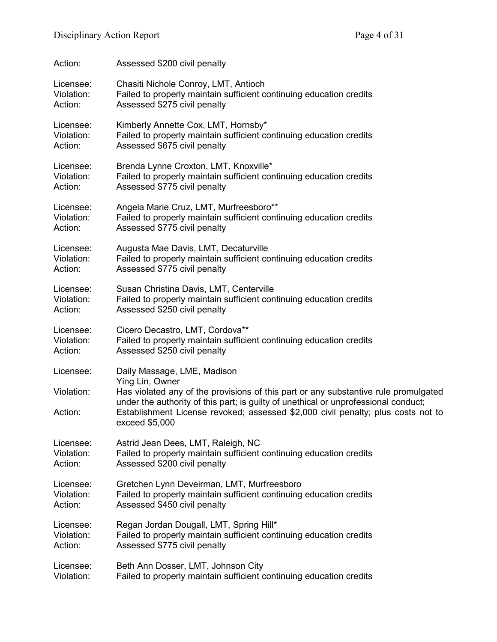| Action:               | Assessed \$200 civil penalty                                                                                                                                                                                                                                                                        |
|-----------------------|-----------------------------------------------------------------------------------------------------------------------------------------------------------------------------------------------------------------------------------------------------------------------------------------------------|
| Licensee:             | Chasiti Nichole Conroy, LMT, Antioch                                                                                                                                                                                                                                                                |
| Violation:            | Failed to properly maintain sufficient continuing education credits                                                                                                                                                                                                                                 |
| Action:               | Assessed \$275 civil penalty                                                                                                                                                                                                                                                                        |
| Licensee:             | Kimberly Annette Cox, LMT, Hornsby*                                                                                                                                                                                                                                                                 |
| Violation:            | Failed to properly maintain sufficient continuing education credits                                                                                                                                                                                                                                 |
| Action:               | Assessed \$675 civil penalty                                                                                                                                                                                                                                                                        |
| Licensee:             | Brenda Lynne Croxton, LMT, Knoxville*                                                                                                                                                                                                                                                               |
| Violation:            | Failed to properly maintain sufficient continuing education credits                                                                                                                                                                                                                                 |
| Action:               | Assessed \$775 civil penalty                                                                                                                                                                                                                                                                        |
| Licensee:             | Angela Marie Cruz, LMT, Murfreesboro**                                                                                                                                                                                                                                                              |
| Violation:            | Failed to properly maintain sufficient continuing education credits                                                                                                                                                                                                                                 |
| Action:               | Assessed \$775 civil penalty                                                                                                                                                                                                                                                                        |
| Licensee:             | Augusta Mae Davis, LMT, Decaturville                                                                                                                                                                                                                                                                |
| Violation:            | Failed to properly maintain sufficient continuing education credits                                                                                                                                                                                                                                 |
| Action:               | Assessed \$775 civil penalty                                                                                                                                                                                                                                                                        |
| Licensee:             | Susan Christina Davis, LMT, Centerville                                                                                                                                                                                                                                                             |
| Violation:            | Failed to properly maintain sufficient continuing education credits                                                                                                                                                                                                                                 |
| Action:               | Assessed \$250 civil penalty                                                                                                                                                                                                                                                                        |
| Licensee:             | Cicero Decastro, LMT, Cordova**                                                                                                                                                                                                                                                                     |
| Violation:            | Failed to properly maintain sufficient continuing education credits                                                                                                                                                                                                                                 |
| Action:               | Assessed \$250 civil penalty                                                                                                                                                                                                                                                                        |
| Licensee:             | Daily Massage, LME, Madison                                                                                                                                                                                                                                                                         |
| Violation:<br>Action: | Ying Lin, Owner<br>Has violated any of the provisions of this part or any substantive rule promulgated<br>under the authority of this part; is guilty of unethical or unprofessional conduct;<br>Establishment License revoked; assessed \$2,000 civil penalty; plus costs not to<br>exceed \$5,000 |
| Licensee:             | Astrid Jean Dees, LMT, Raleigh, NC                                                                                                                                                                                                                                                                  |
| Violation:            | Failed to properly maintain sufficient continuing education credits                                                                                                                                                                                                                                 |
| Action:               | Assessed \$200 civil penalty                                                                                                                                                                                                                                                                        |
| Licensee:             | Gretchen Lynn Deveirman, LMT, Murfreesboro                                                                                                                                                                                                                                                          |
| Violation:            | Failed to properly maintain sufficient continuing education credits                                                                                                                                                                                                                                 |
| Action:               | Assessed \$450 civil penalty                                                                                                                                                                                                                                                                        |
| Licensee:             | Regan Jordan Dougall, LMT, Spring Hill*                                                                                                                                                                                                                                                             |
| Violation:            | Failed to properly maintain sufficient continuing education credits                                                                                                                                                                                                                                 |
| Action:               | Assessed \$775 civil penalty                                                                                                                                                                                                                                                                        |
| Licensee:             | Beth Ann Dosser, LMT, Johnson City                                                                                                                                                                                                                                                                  |
| Violation:            | Failed to properly maintain sufficient continuing education credits                                                                                                                                                                                                                                 |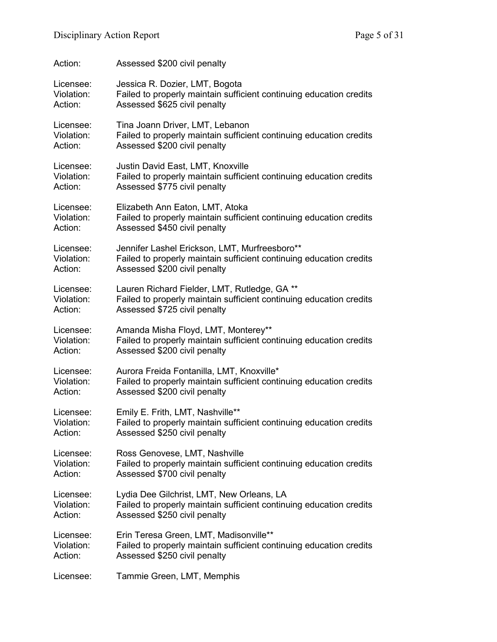| Action:    | Assessed \$200 civil penalty                                        |
|------------|---------------------------------------------------------------------|
| Licensee:  | Jessica R. Dozier, LMT, Bogota                                      |
| Violation: | Failed to properly maintain sufficient continuing education credits |
| Action:    | Assessed \$625 civil penalty                                        |
| Licensee:  | Tina Joann Driver, LMT, Lebanon                                     |
| Violation: | Failed to properly maintain sufficient continuing education credits |
| Action:    | Assessed \$200 civil penalty                                        |
| Licensee:  | Justin David East, LMT, Knoxville                                   |
| Violation: | Failed to properly maintain sufficient continuing education credits |
| Action:    | Assessed \$775 civil penalty                                        |
| Licensee:  | Elizabeth Ann Eaton, LMT, Atoka                                     |
| Violation: | Failed to properly maintain sufficient continuing education credits |
| Action:    | Assessed \$450 civil penalty                                        |
| Licensee:  | Jennifer Lashel Erickson, LMT, Murfreesboro**                       |
| Violation: | Failed to properly maintain sufficient continuing education credits |
| Action:    | Assessed \$200 civil penalty                                        |
| Licensee:  | Lauren Richard Fielder, LMT, Rutledge, GA **                        |
| Violation: | Failed to properly maintain sufficient continuing education credits |
| Action:    | Assessed \$725 civil penalty                                        |
| Licensee:  | Amanda Misha Floyd, LMT, Monterey**                                 |
| Violation: | Failed to properly maintain sufficient continuing education credits |
| Action:    | Assessed \$200 civil penalty                                        |
| Licensee:  | Aurora Freida Fontanilla, LMT, Knoxville*                           |
| Violation: | Failed to properly maintain sufficient continuing education credits |
| Action:    | Assessed \$200 civil penalty                                        |
| Licensee:  | Emily E. Frith, LMT, Nashville**                                    |
| Violation: | Failed to properly maintain sufficient continuing education credits |
| Action:    | Assessed \$250 civil penalty                                        |
| Licensee:  | Ross Genovese, LMT, Nashville                                       |
| Violation: | Failed to properly maintain sufficient continuing education credits |
| Action:    | Assessed \$700 civil penalty                                        |
| Licensee:  | Lydia Dee Gilchrist, LMT, New Orleans, LA                           |
| Violation: | Failed to properly maintain sufficient continuing education credits |
| Action:    | Assessed \$250 civil penalty                                        |
| Licensee:  | Erin Teresa Green, LMT, Madisonville**                              |
| Violation: | Failed to properly maintain sufficient continuing education credits |
| Action:    | Assessed \$250 civil penalty                                        |
| Licensee:  | Tammie Green, LMT, Memphis                                          |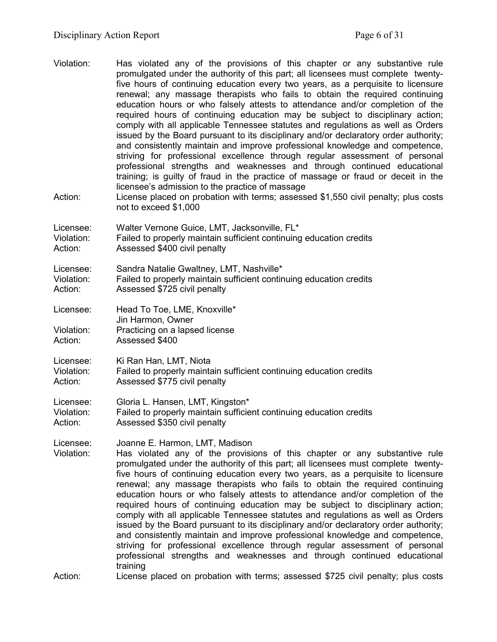Violation: Has violated any of the provisions of this chapter or any substantive rule promulgated under the authority of this part; all licensees must complete twentyfive hours of continuing education every two years, as a perquisite to licensure renewal; any massage therapists who fails to obtain the required continuing education hours or who falsely attests to attendance and/or completion of the required hours of continuing education may be subject to disciplinary action; comply with all applicable Tennessee statutes and regulations as well as Orders issued by the Board pursuant to its disciplinary and/or declaratory order authority; and consistently maintain and improve professional knowledge and competence, striving for professional excellence through regular assessment of personal professional strengths and weaknesses and through continued educational training; is guilty of fraud in the practice of massage or fraud or deceit in the licensee's admission to the practice of massage Action: License placed on probation with terms; assessed \$1,550 civil penalty; plus costs not to exceed \$1,000 Licensee: Walter Vernone Guice, LMT, Jacksonville, FL\* Violation: Failed to properly maintain sufficient continuing education credits Action: Assessed \$400 civil penalty Licensee: Sandra Natalie Gwaltney, LMT, Nashville\* Violation: Failed to properly maintain sufficient continuing education credits Action: Assessed \$725 civil penalty Licensee: Head To Toe, LME, Knoxville\* Jin Harmon, Owner Violation: Practicing on a lapsed license Action: Assessed \$400 Licensee: Ki Ran Han, LMT, Niota Violation: Failed to properly maintain sufficient continuing education credits Action: Assessed \$775 civil penalty Licensee: Gloria L. Hansen, LMT, Kingston\* Violation: Failed to properly maintain sufficient continuing education credits Action: Assessed \$350 civil penalty Licensee: Joanne E. Harmon, LMT, Madison<br>Violation: Has violated any of the provision Has violated any of the provisions of this chapter or any substantive rule promulgated under the authority of this part; all licensees must complete twentyfive hours of continuing education every two years, as a perquisite to licensure renewal; any massage therapists who fails to obtain the required continuing education hours or who falsely attests to attendance and/or completion of the required hours of continuing education may be subject to disciplinary action; comply with all applicable Tennessee statutes and regulations as well as Orders issued by the Board pursuant to its disciplinary and/or declaratory order authority; and consistently maintain and improve professional knowledge and competence, striving for professional excellence through regular assessment of personal professional strengths and weaknesses and through continued educational training

Action: License placed on probation with terms; assessed \$725 civil penalty; plus costs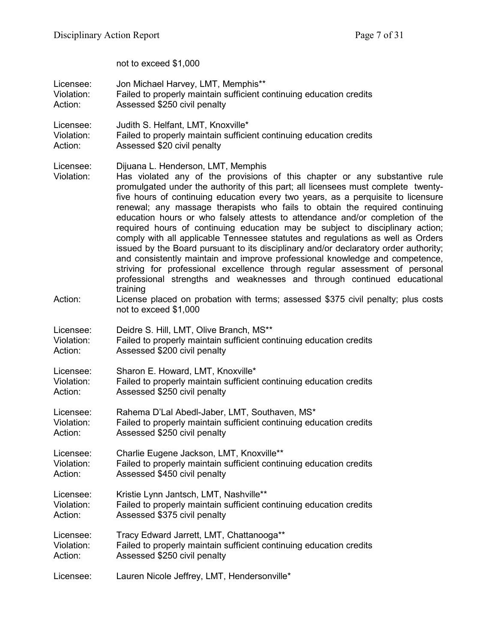not to exceed \$1,000

| Licensee:                          | Jon Michael Harvey, LMT, Memphis**                                                                                                                                                                                                                                                                                                                                                                                                                                                                                                                                                                                                                                                                                                                                                                                                                                                                                                                                                                                                                                                       |
|------------------------------------|------------------------------------------------------------------------------------------------------------------------------------------------------------------------------------------------------------------------------------------------------------------------------------------------------------------------------------------------------------------------------------------------------------------------------------------------------------------------------------------------------------------------------------------------------------------------------------------------------------------------------------------------------------------------------------------------------------------------------------------------------------------------------------------------------------------------------------------------------------------------------------------------------------------------------------------------------------------------------------------------------------------------------------------------------------------------------------------|
| Violation:                         | Failed to properly maintain sufficient continuing education credits                                                                                                                                                                                                                                                                                                                                                                                                                                                                                                                                                                                                                                                                                                                                                                                                                                                                                                                                                                                                                      |
| Action:                            | Assessed \$250 civil penalty                                                                                                                                                                                                                                                                                                                                                                                                                                                                                                                                                                                                                                                                                                                                                                                                                                                                                                                                                                                                                                                             |
| Licensee:                          | Judith S. Helfant, LMT, Knoxville*                                                                                                                                                                                                                                                                                                                                                                                                                                                                                                                                                                                                                                                                                                                                                                                                                                                                                                                                                                                                                                                       |
| Violation:                         | Failed to properly maintain sufficient continuing education credits                                                                                                                                                                                                                                                                                                                                                                                                                                                                                                                                                                                                                                                                                                                                                                                                                                                                                                                                                                                                                      |
| Action:                            | Assessed \$20 civil penalty                                                                                                                                                                                                                                                                                                                                                                                                                                                                                                                                                                                                                                                                                                                                                                                                                                                                                                                                                                                                                                                              |
| Licensee:<br>Violation:<br>Action: | Dijuana L. Henderson, LMT, Memphis<br>Has violated any of the provisions of this chapter or any substantive rule<br>promulgated under the authority of this part; all licensees must complete twenty-<br>five hours of continuing education every two years, as a perquisite to licensure<br>renewal; any massage therapists who fails to obtain the required continuing<br>education hours or who falsely attests to attendance and/or completion of the<br>required hours of continuing education may be subject to disciplinary action;<br>comply with all applicable Tennessee statutes and regulations as well as Orders<br>issued by the Board pursuant to its disciplinary and/or declaratory order authority;<br>and consistently maintain and improve professional knowledge and competence,<br>striving for professional excellence through regular assessment of personal<br>professional strengths and weaknesses and through continued educational<br>training<br>License placed on probation with terms; assessed \$375 civil penalty; plus costs<br>not to exceed \$1,000 |
|                                    |                                                                                                                                                                                                                                                                                                                                                                                                                                                                                                                                                                                                                                                                                                                                                                                                                                                                                                                                                                                                                                                                                          |
| Licensee:                          | Deidre S. Hill, LMT, Olive Branch, MS**                                                                                                                                                                                                                                                                                                                                                                                                                                                                                                                                                                                                                                                                                                                                                                                                                                                                                                                                                                                                                                                  |
| Violation:                         | Failed to properly maintain sufficient continuing education credits                                                                                                                                                                                                                                                                                                                                                                                                                                                                                                                                                                                                                                                                                                                                                                                                                                                                                                                                                                                                                      |
| Action:                            | Assessed \$200 civil penalty                                                                                                                                                                                                                                                                                                                                                                                                                                                                                                                                                                                                                                                                                                                                                                                                                                                                                                                                                                                                                                                             |
| Licensee:                          | Sharon E. Howard, LMT, Knoxville*                                                                                                                                                                                                                                                                                                                                                                                                                                                                                                                                                                                                                                                                                                                                                                                                                                                                                                                                                                                                                                                        |
| Violation:                         | Failed to properly maintain sufficient continuing education credits                                                                                                                                                                                                                                                                                                                                                                                                                                                                                                                                                                                                                                                                                                                                                                                                                                                                                                                                                                                                                      |
| Action:                            | Assessed \$250 civil penalty                                                                                                                                                                                                                                                                                                                                                                                                                                                                                                                                                                                                                                                                                                                                                                                                                                                                                                                                                                                                                                                             |
| Licensee:                          | Rahema D'Lal Abedl-Jaber, LMT, Southaven, MS*                                                                                                                                                                                                                                                                                                                                                                                                                                                                                                                                                                                                                                                                                                                                                                                                                                                                                                                                                                                                                                            |
| Violation:                         | Failed to properly maintain sufficient continuing education credits                                                                                                                                                                                                                                                                                                                                                                                                                                                                                                                                                                                                                                                                                                                                                                                                                                                                                                                                                                                                                      |
| Action:                            | Assessed \$250 civil penalty                                                                                                                                                                                                                                                                                                                                                                                                                                                                                                                                                                                                                                                                                                                                                                                                                                                                                                                                                                                                                                                             |
| Licensee:                          | Charlie Eugene Jackson, LMT, Knoxville**                                                                                                                                                                                                                                                                                                                                                                                                                                                                                                                                                                                                                                                                                                                                                                                                                                                                                                                                                                                                                                                 |
| Violation:                         | Failed to properly maintain sufficient continuing education credits                                                                                                                                                                                                                                                                                                                                                                                                                                                                                                                                                                                                                                                                                                                                                                                                                                                                                                                                                                                                                      |
| Action:                            | Assessed \$450 civil penalty                                                                                                                                                                                                                                                                                                                                                                                                                                                                                                                                                                                                                                                                                                                                                                                                                                                                                                                                                                                                                                                             |
| Licensee:                          | Kristie Lynn Jantsch, LMT, Nashville**                                                                                                                                                                                                                                                                                                                                                                                                                                                                                                                                                                                                                                                                                                                                                                                                                                                                                                                                                                                                                                                   |
| Violation:                         | Failed to properly maintain sufficient continuing education credits                                                                                                                                                                                                                                                                                                                                                                                                                                                                                                                                                                                                                                                                                                                                                                                                                                                                                                                                                                                                                      |
| Action:                            | Assessed \$375 civil penalty                                                                                                                                                                                                                                                                                                                                                                                                                                                                                                                                                                                                                                                                                                                                                                                                                                                                                                                                                                                                                                                             |
| Licensee:                          | Tracy Edward Jarrett, LMT, Chattanooga**                                                                                                                                                                                                                                                                                                                                                                                                                                                                                                                                                                                                                                                                                                                                                                                                                                                                                                                                                                                                                                                 |
| Violation:                         | Failed to properly maintain sufficient continuing education credits                                                                                                                                                                                                                                                                                                                                                                                                                                                                                                                                                                                                                                                                                                                                                                                                                                                                                                                                                                                                                      |
| Action:                            | Assessed \$250 civil penalty                                                                                                                                                                                                                                                                                                                                                                                                                                                                                                                                                                                                                                                                                                                                                                                                                                                                                                                                                                                                                                                             |
| Licensee:                          | Lauren Nicole Jeffrey, LMT, Hendersonville*                                                                                                                                                                                                                                                                                                                                                                                                                                                                                                                                                                                                                                                                                                                                                                                                                                                                                                                                                                                                                                              |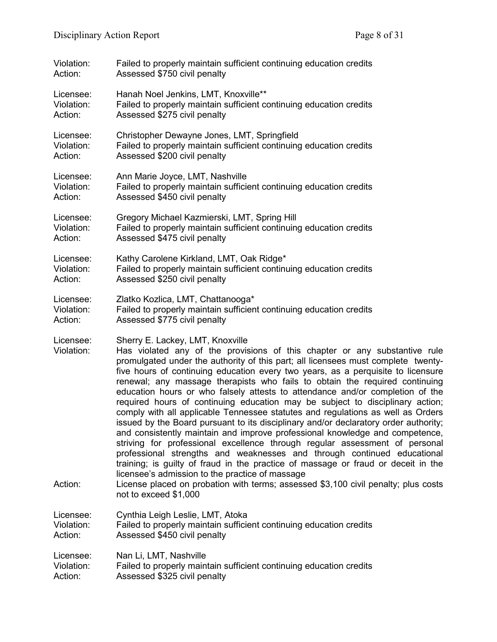| Violation:                         | Failed to properly maintain sufficient continuing education credits                                                                                                                                                                                                                                                                                                                                                                                                                                                                                                                                                                                                                                                                                                                                                                                                                                                                                                                                                                                                                                                                                                                                                  |
|------------------------------------|----------------------------------------------------------------------------------------------------------------------------------------------------------------------------------------------------------------------------------------------------------------------------------------------------------------------------------------------------------------------------------------------------------------------------------------------------------------------------------------------------------------------------------------------------------------------------------------------------------------------------------------------------------------------------------------------------------------------------------------------------------------------------------------------------------------------------------------------------------------------------------------------------------------------------------------------------------------------------------------------------------------------------------------------------------------------------------------------------------------------------------------------------------------------------------------------------------------------|
| Action:                            | Assessed \$750 civil penalty                                                                                                                                                                                                                                                                                                                                                                                                                                                                                                                                                                                                                                                                                                                                                                                                                                                                                                                                                                                                                                                                                                                                                                                         |
| Licensee:                          | Hanah Noel Jenkins, LMT, Knoxville**                                                                                                                                                                                                                                                                                                                                                                                                                                                                                                                                                                                                                                                                                                                                                                                                                                                                                                                                                                                                                                                                                                                                                                                 |
| Violation:                         | Failed to properly maintain sufficient continuing education credits                                                                                                                                                                                                                                                                                                                                                                                                                                                                                                                                                                                                                                                                                                                                                                                                                                                                                                                                                                                                                                                                                                                                                  |
| Action:                            | Assessed \$275 civil penalty                                                                                                                                                                                                                                                                                                                                                                                                                                                                                                                                                                                                                                                                                                                                                                                                                                                                                                                                                                                                                                                                                                                                                                                         |
| Licensee:                          | Christopher Dewayne Jones, LMT, Springfield                                                                                                                                                                                                                                                                                                                                                                                                                                                                                                                                                                                                                                                                                                                                                                                                                                                                                                                                                                                                                                                                                                                                                                          |
| Violation:                         | Failed to properly maintain sufficient continuing education credits                                                                                                                                                                                                                                                                                                                                                                                                                                                                                                                                                                                                                                                                                                                                                                                                                                                                                                                                                                                                                                                                                                                                                  |
| Action:                            | Assessed \$200 civil penalty                                                                                                                                                                                                                                                                                                                                                                                                                                                                                                                                                                                                                                                                                                                                                                                                                                                                                                                                                                                                                                                                                                                                                                                         |
| Licensee:                          | Ann Marie Joyce, LMT, Nashville                                                                                                                                                                                                                                                                                                                                                                                                                                                                                                                                                                                                                                                                                                                                                                                                                                                                                                                                                                                                                                                                                                                                                                                      |
| Violation:                         | Failed to properly maintain sufficient continuing education credits                                                                                                                                                                                                                                                                                                                                                                                                                                                                                                                                                                                                                                                                                                                                                                                                                                                                                                                                                                                                                                                                                                                                                  |
| Action:                            | Assessed \$450 civil penalty                                                                                                                                                                                                                                                                                                                                                                                                                                                                                                                                                                                                                                                                                                                                                                                                                                                                                                                                                                                                                                                                                                                                                                                         |
| Licensee:                          | Gregory Michael Kazmierski, LMT, Spring Hill                                                                                                                                                                                                                                                                                                                                                                                                                                                                                                                                                                                                                                                                                                                                                                                                                                                                                                                                                                                                                                                                                                                                                                         |
| Violation:                         | Failed to properly maintain sufficient continuing education credits                                                                                                                                                                                                                                                                                                                                                                                                                                                                                                                                                                                                                                                                                                                                                                                                                                                                                                                                                                                                                                                                                                                                                  |
| Action:                            | Assessed \$475 civil penalty                                                                                                                                                                                                                                                                                                                                                                                                                                                                                                                                                                                                                                                                                                                                                                                                                                                                                                                                                                                                                                                                                                                                                                                         |
| Licensee:                          | Kathy Carolene Kirkland, LMT, Oak Ridge*                                                                                                                                                                                                                                                                                                                                                                                                                                                                                                                                                                                                                                                                                                                                                                                                                                                                                                                                                                                                                                                                                                                                                                             |
| Violation:                         | Failed to properly maintain sufficient continuing education credits                                                                                                                                                                                                                                                                                                                                                                                                                                                                                                                                                                                                                                                                                                                                                                                                                                                                                                                                                                                                                                                                                                                                                  |
| Action:                            | Assessed \$250 civil penalty                                                                                                                                                                                                                                                                                                                                                                                                                                                                                                                                                                                                                                                                                                                                                                                                                                                                                                                                                                                                                                                                                                                                                                                         |
| Licensee:                          | Zlatko Kozlica, LMT, Chattanooga*                                                                                                                                                                                                                                                                                                                                                                                                                                                                                                                                                                                                                                                                                                                                                                                                                                                                                                                                                                                                                                                                                                                                                                                    |
| Violation:                         | Failed to properly maintain sufficient continuing education credits                                                                                                                                                                                                                                                                                                                                                                                                                                                                                                                                                                                                                                                                                                                                                                                                                                                                                                                                                                                                                                                                                                                                                  |
| Action:                            | Assessed \$775 civil penalty                                                                                                                                                                                                                                                                                                                                                                                                                                                                                                                                                                                                                                                                                                                                                                                                                                                                                                                                                                                                                                                                                                                                                                                         |
| Licensee:<br>Violation:<br>Action: | Sherry E. Lackey, LMT, Knoxville<br>Has violated any of the provisions of this chapter or any substantive rule<br>promulgated under the authority of this part; all licensees must complete twenty-<br>five hours of continuing education every two years, as a perquisite to licensure<br>renewal; any massage therapists who fails to obtain the required continuing<br>education hours or who falsely attests to attendance and/or completion of the<br>required hours of continuing education may be subject to disciplinary action;<br>comply with all applicable Tennessee statutes and regulations as well as Orders<br>issued by the Board pursuant to its disciplinary and/or declaratory order authority;<br>and consistently maintain and improve professional knowledge and competence,<br>striving for professional excellence through regular assessment of personal<br>professional strengths and weaknesses and through continued educational<br>training; is guilty of fraud in the practice of massage or fraud or deceit in the<br>licensee's admission to the practice of massage<br>License placed on probation with terms; assessed \$3,100 civil penalty; plus costs<br>not to exceed \$1,000 |
| Licensee:                          | Cynthia Leigh Leslie, LMT, Atoka                                                                                                                                                                                                                                                                                                                                                                                                                                                                                                                                                                                                                                                                                                                                                                                                                                                                                                                                                                                                                                                                                                                                                                                     |
| Violation:                         | Failed to properly maintain sufficient continuing education credits                                                                                                                                                                                                                                                                                                                                                                                                                                                                                                                                                                                                                                                                                                                                                                                                                                                                                                                                                                                                                                                                                                                                                  |
| Action:                            | Assessed \$450 civil penalty                                                                                                                                                                                                                                                                                                                                                                                                                                                                                                                                                                                                                                                                                                                                                                                                                                                                                                                                                                                                                                                                                                                                                                                         |
| Licensee:                          | Nan Li, LMT, Nashville                                                                                                                                                                                                                                                                                                                                                                                                                                                                                                                                                                                                                                                                                                                                                                                                                                                                                                                                                                                                                                                                                                                                                                                               |
| Violation:                         | Failed to properly maintain sufficient continuing education credits                                                                                                                                                                                                                                                                                                                                                                                                                                                                                                                                                                                                                                                                                                                                                                                                                                                                                                                                                                                                                                                                                                                                                  |
| Action:                            | Assessed \$325 civil penalty                                                                                                                                                                                                                                                                                                                                                                                                                                                                                                                                                                                                                                                                                                                                                                                                                                                                                                                                                                                                                                                                                                                                                                                         |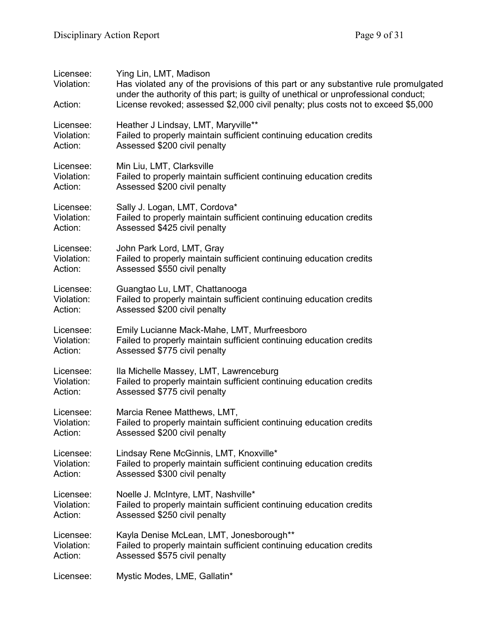| Licensee:<br>Violation:<br>Action: | Ying Lin, LMT, Madison<br>Has violated any of the provisions of this part or any substantive rule promulgated<br>under the authority of this part; is guilty of unethical or unprofessional conduct;<br>License revoked; assessed \$2,000 civil penalty; plus costs not to exceed \$5,000 |
|------------------------------------|-------------------------------------------------------------------------------------------------------------------------------------------------------------------------------------------------------------------------------------------------------------------------------------------|
| Licensee:                          | Heather J Lindsay, LMT, Maryville**                                                                                                                                                                                                                                                       |
| Violation:                         | Failed to properly maintain sufficient continuing education credits                                                                                                                                                                                                                       |
| Action:                            | Assessed \$200 civil penalty                                                                                                                                                                                                                                                              |
| Licensee:                          | Min Liu, LMT, Clarksville                                                                                                                                                                                                                                                                 |
| Violation:                         | Failed to properly maintain sufficient continuing education credits                                                                                                                                                                                                                       |
| Action:                            | Assessed \$200 civil penalty                                                                                                                                                                                                                                                              |
| Licensee:                          | Sally J. Logan, LMT, Cordova*                                                                                                                                                                                                                                                             |
| Violation:                         | Failed to properly maintain sufficient continuing education credits                                                                                                                                                                                                                       |
| Action:                            | Assessed \$425 civil penalty                                                                                                                                                                                                                                                              |
| Licensee:                          | John Park Lord, LMT, Gray                                                                                                                                                                                                                                                                 |
| Violation:                         | Failed to properly maintain sufficient continuing education credits                                                                                                                                                                                                                       |
| Action:                            | Assessed \$550 civil penalty                                                                                                                                                                                                                                                              |
| Licensee:                          | Guangtao Lu, LMT, Chattanooga                                                                                                                                                                                                                                                             |
| Violation:                         | Failed to properly maintain sufficient continuing education credits                                                                                                                                                                                                                       |
| Action:                            | Assessed \$200 civil penalty                                                                                                                                                                                                                                                              |
| Licensee:                          | Emily Lucianne Mack-Mahe, LMT, Murfreesboro                                                                                                                                                                                                                                               |
| Violation:                         | Failed to properly maintain sufficient continuing education credits                                                                                                                                                                                                                       |
| Action:                            | Assessed \$775 civil penalty                                                                                                                                                                                                                                                              |
| Licensee:                          | Ila Michelle Massey, LMT, Lawrenceburg                                                                                                                                                                                                                                                    |
| Violation:                         | Failed to properly maintain sufficient continuing education credits                                                                                                                                                                                                                       |
| Action:                            | Assessed \$775 civil penalty                                                                                                                                                                                                                                                              |
| Licensee:                          | Marcia Renee Matthews, LMT,                                                                                                                                                                                                                                                               |
| Violation:                         | Failed to properly maintain sufficient continuing education credits                                                                                                                                                                                                                       |
| Action:                            | Assessed \$200 civil penalty                                                                                                                                                                                                                                                              |
| Licensee:                          | Lindsay Rene McGinnis, LMT, Knoxville*                                                                                                                                                                                                                                                    |
| Violation:                         | Failed to properly maintain sufficient continuing education credits                                                                                                                                                                                                                       |
| Action:                            | Assessed \$300 civil penalty                                                                                                                                                                                                                                                              |
| Licensee:                          | Noelle J. McIntyre, LMT, Nashville*                                                                                                                                                                                                                                                       |
| Violation:                         | Failed to properly maintain sufficient continuing education credits                                                                                                                                                                                                                       |
| Action:                            | Assessed \$250 civil penalty                                                                                                                                                                                                                                                              |
| Licensee:                          | Kayla Denise McLean, LMT, Jonesborough**                                                                                                                                                                                                                                                  |
| Violation:                         | Failed to properly maintain sufficient continuing education credits                                                                                                                                                                                                                       |
| Action:                            | Assessed \$575 civil penalty                                                                                                                                                                                                                                                              |
| Licensee:                          | Mystic Modes, LME, Gallatin*                                                                                                                                                                                                                                                              |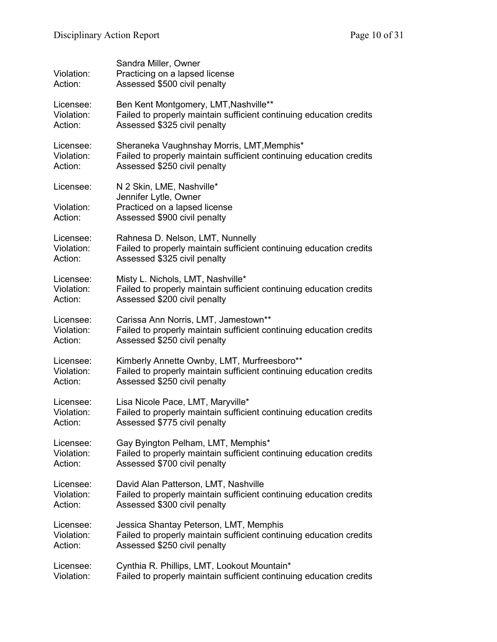| Violation:<br>Action:              | Sandra Miller, Owner<br>Practicing on a lapsed license<br>Assessed \$500 civil penalty                              |
|------------------------------------|---------------------------------------------------------------------------------------------------------------------|
| Licensee:                          | Ben Kent Montgomery, LMT, Nashville**                                                                               |
| Violation:                         | Failed to properly maintain sufficient continuing education credits                                                 |
| Action:                            | Assessed \$325 civil penalty                                                                                        |
| Licensee:                          | Sheraneka Vaughnshay Morris, LMT, Memphis*                                                                          |
| Violation:                         | Failed to properly maintain sufficient continuing education credits                                                 |
| Action:                            | Assessed \$250 civil penalty                                                                                        |
| Licensee:<br>Violation:<br>Action: | N 2 Skin, LME, Nashville*<br>Jennifer Lytle, Owner<br>Practiced on a lapsed license<br>Assessed \$900 civil penalty |
| Licensee:                          | Rahnesa D. Nelson, LMT, Nunnelly                                                                                    |
| Violation:                         | Failed to properly maintain sufficient continuing education credits                                                 |
| Action:                            | Assessed \$325 civil penalty                                                                                        |
| Licensee:                          | Misty L. Nichols, LMT, Nashville*                                                                                   |
| Violation:                         | Failed to properly maintain sufficient continuing education credits                                                 |
| Action:                            | Assessed \$200 civil penalty                                                                                        |
| Licensee:                          | Carissa Ann Norris, LMT, Jamestown**                                                                                |
| Violation:                         | Failed to properly maintain sufficient continuing education credits                                                 |
| Action:                            | Assessed \$250 civil penalty                                                                                        |
| Licensee:                          | Kimberly Annette Ownby, LMT, Murfreesboro**                                                                         |
| Violation:                         | Failed to properly maintain sufficient continuing education credits                                                 |
| Action:                            | Assessed \$250 civil penalty                                                                                        |
| Licensee:                          | Lisa Nicole Pace, LMT, Maryville*                                                                                   |
| Violation:                         | Failed to properly maintain sufficient continuing education credits                                                 |
| Action:                            | Assessed \$775 civil penalty                                                                                        |
| Licensee:                          | Gay Byington Pelham, LMT, Memphis*                                                                                  |
| Violation:                         | Failed to properly maintain sufficient continuing education credits                                                 |
| Action:                            | Assessed \$700 civil penalty                                                                                        |
| Licensee:                          | David Alan Patterson, LMT, Nashville                                                                                |
| Violation:                         | Failed to properly maintain sufficient continuing education credits                                                 |
| Action:                            | Assessed \$300 civil penalty                                                                                        |
| Licensee:                          | Jessica Shantay Peterson, LMT, Memphis                                                                              |
| Violation:                         | Failed to properly maintain sufficient continuing education credits                                                 |
| Action:                            | Assessed \$250 civil penalty                                                                                        |
| Licensee:                          | Cynthia R. Phillips, LMT, Lookout Mountain*                                                                         |
| Violation:                         | Failed to properly maintain sufficient continuing education credits                                                 |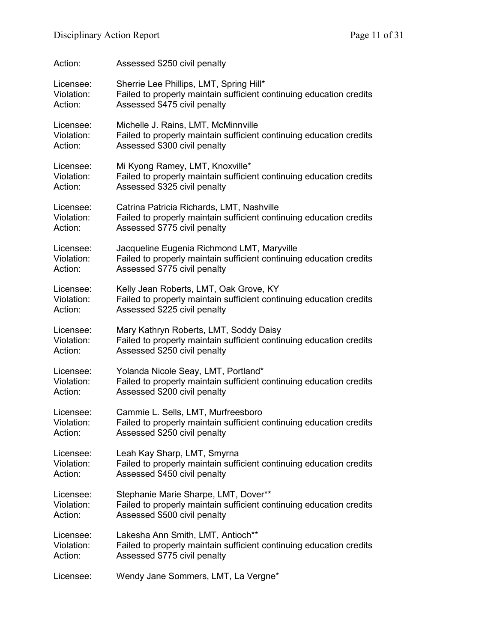| Action:    | Assessed \$250 civil penalty                                        |
|------------|---------------------------------------------------------------------|
| Licensee:  | Sherrie Lee Phillips, LMT, Spring Hill*                             |
| Violation: | Failed to properly maintain sufficient continuing education credits |
| Action:    | Assessed \$475 civil penalty                                        |
| Licensee:  | Michelle J. Rains, LMT, McMinnville                                 |
| Violation: | Failed to properly maintain sufficient continuing education credits |
| Action:    | Assessed \$300 civil penalty                                        |
| Licensee:  | Mi Kyong Ramey, LMT, Knoxville*                                     |
| Violation: | Failed to properly maintain sufficient continuing education credits |
| Action:    | Assessed \$325 civil penalty                                        |
| Licensee:  | Catrina Patricia Richards, LMT, Nashville                           |
| Violation: | Failed to properly maintain sufficient continuing education credits |
| Action:    | Assessed \$775 civil penalty                                        |
| Licensee:  | Jacqueline Eugenia Richmond LMT, Maryville                          |
| Violation: | Failed to properly maintain sufficient continuing education credits |
| Action:    | Assessed \$775 civil penalty                                        |
| Licensee:  | Kelly Jean Roberts, LMT, Oak Grove, KY                              |
| Violation: | Failed to properly maintain sufficient continuing education credits |
| Action:    | Assessed \$225 civil penalty                                        |
| Licensee:  | Mary Kathryn Roberts, LMT, Soddy Daisy                              |
| Violation: | Failed to properly maintain sufficient continuing education credits |
| Action:    | Assessed \$250 civil penalty                                        |
| Licensee:  | Yolanda Nicole Seay, LMT, Portland*                                 |
| Violation: | Failed to properly maintain sufficient continuing education credits |
| Action:    | Assessed \$200 civil penalty                                        |
| Licensee:  | Cammie L. Sells, LMT, Murfreesboro                                  |
| Violation: | Failed to properly maintain sufficient continuing education credits |
| Action:    | Assessed \$250 civil penalty                                        |
| Licensee:  | Leah Kay Sharp, LMT, Smyrna                                         |
| Violation: | Failed to properly maintain sufficient continuing education credits |
| Action:    | Assessed \$450 civil penalty                                        |
| Licensee:  | Stephanie Marie Sharpe, LMT, Dover**                                |
| Violation: | Failed to properly maintain sufficient continuing education credits |
| Action:    | Assessed \$500 civil penalty                                        |
| Licensee:  | Lakesha Ann Smith, LMT, Antioch**                                   |
| Violation: | Failed to properly maintain sufficient continuing education credits |
| Action:    | Assessed \$775 civil penalty                                        |
| Licensee:  | Wendy Jane Sommers, LMT, La Vergne*                                 |
|            |                                                                     |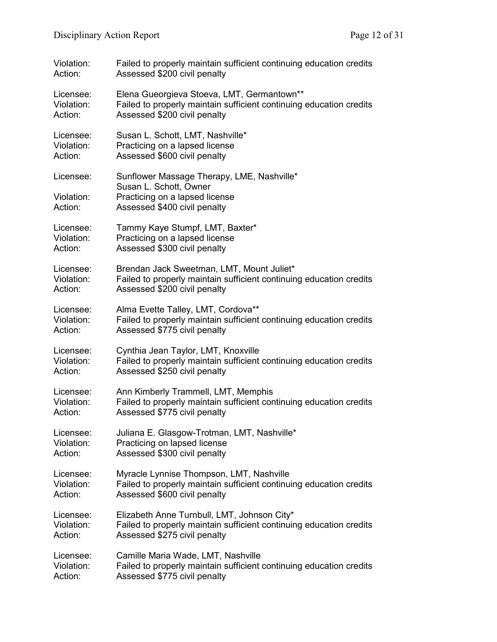| Violation: | Failed to properly maintain sufficient continuing education credits  |
|------------|----------------------------------------------------------------------|
| Action:    | Assessed \$200 civil penalty                                         |
| Licensee:  | Elena Gueorgieva Stoeva, LMT, Germantown**                           |
| Violation: | Failed to properly maintain sufficient continuing education credits  |
| Action:    | Assessed \$200 civil penalty                                         |
| Licensee:  | Susan L. Schott, LMT, Nashville*                                     |
| Violation: | Practicing on a lapsed license                                       |
| Action:    | Assessed \$600 civil penalty                                         |
| Licensee:  | Sunflower Massage Therapy, LME, Nashville*<br>Susan L. Schott, Owner |
| Violation: | Practicing on a lapsed license                                       |
| Action:    | Assessed \$400 civil penalty                                         |
| Licensee:  | Tammy Kaye Stumpf, LMT, Baxter*                                      |
| Violation: | Practicing on a lapsed license                                       |
| Action:    | Assessed \$300 civil penalty                                         |
| Licensee:  | Brendan Jack Sweetman, LMT, Mount Juliet*                            |
| Violation: | Failed to properly maintain sufficient continuing education credits  |
| Action:    | Assessed \$200 civil penalty                                         |
| Licensee:  | Alma Evette Talley, LMT, Cordova**                                   |
| Violation: | Failed to properly maintain sufficient continuing education credits  |
| Action:    | Assessed \$775 civil penalty                                         |
| Licensee:  | Cynthia Jean Taylor, LMT, Knoxville                                  |
| Violation: | Failed to properly maintain sufficient continuing education credits  |
| Action:    | Assessed \$250 civil penalty                                         |
| Licensee:  | Ann Kimberly Trammell, LMT, Memphis                                  |
| Violation: | Failed to properly maintain sufficient continuing education credits  |
| Action:    | Assessed \$775 civil penalty                                         |
| Licensee:  | Juliana E. Glasgow-Trotman, LMT, Nashville*                          |
| Violation: | Practicing on lapsed license                                         |
| Action:    | Assessed \$300 civil penalty                                         |
| Licensee:  | Myracle Lynnise Thompson, LMT, Nashville                             |
| Violation: | Failed to properly maintain sufficient continuing education credits  |
| Action:    | Assessed \$600 civil penalty                                         |
| Licensee:  | Elizabeth Anne Turnbull, LMT, Johnson City*                          |
| Violation: | Failed to properly maintain sufficient continuing education credits  |
| Action:    | Assessed \$275 civil penalty                                         |
| Licensee:  | Camille Maria Wade, LMT, Nashville                                   |
| Violation: | Failed to properly maintain sufficient continuing education credits  |
| Action:    | Assessed \$775 civil penalty                                         |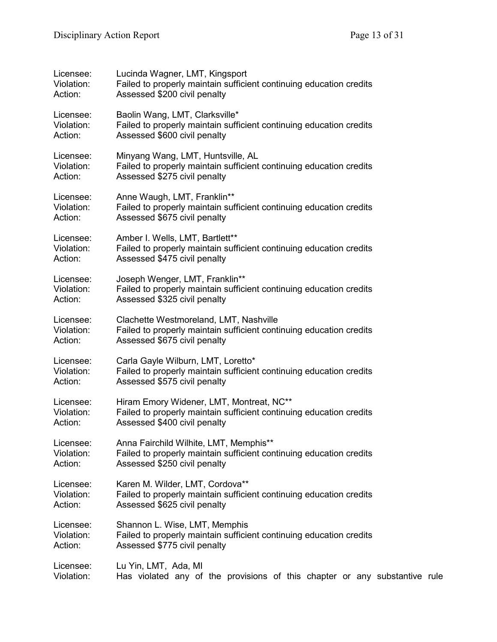| Licensee:  | Lucinda Wagner, LMT, Kingsport                                             |
|------------|----------------------------------------------------------------------------|
| Violation: | Failed to properly maintain sufficient continuing education credits        |
| Action:    | Assessed \$200 civil penalty                                               |
| Licensee:  | Baolin Wang, LMT, Clarksville*                                             |
| Violation: | Failed to properly maintain sufficient continuing education credits        |
| Action:    | Assessed \$600 civil penalty                                               |
| Licensee:  | Minyang Wang, LMT, Huntsville, AL                                          |
| Violation: | Failed to properly maintain sufficient continuing education credits        |
| Action:    | Assessed \$275 civil penalty                                               |
| Licensee:  | Anne Waugh, LMT, Franklin**                                                |
| Violation: | Failed to properly maintain sufficient continuing education credits        |
| Action:    | Assessed \$675 civil penalty                                               |
| Licensee:  | Amber I. Wells, LMT, Bartlett**                                            |
| Violation: | Failed to properly maintain sufficient continuing education credits        |
| Action:    | Assessed \$475 civil penalty                                               |
| Licensee:  | Joseph Wenger, LMT, Franklin**                                             |
| Violation: | Failed to properly maintain sufficient continuing education credits        |
| Action:    | Assessed \$325 civil penalty                                               |
| Licensee:  | Clachette Westmoreland, LMT, Nashville                                     |
| Violation: | Failed to properly maintain sufficient continuing education credits        |
| Action:    | Assessed \$675 civil penalty                                               |
| Licensee:  | Carla Gayle Wilburn, LMT, Loretto*                                         |
| Violation: | Failed to properly maintain sufficient continuing education credits        |
| Action:    | Assessed \$575 civil penalty                                               |
| Licensee:  | Hiram Emory Widener, LMT, Montreat, NC**                                   |
| Violation: | Failed to properly maintain sufficient continuing education credits        |
| Action:    | Assessed \$400 civil penalty                                               |
| Licensee:  | Anna Fairchild Wilhite, LMT, Memphis**                                     |
| Violation: | Failed to properly maintain sufficient continuing education credits        |
| Action:    | Assessed \$250 civil penalty                                               |
| Licensee:  | Karen M. Wilder, LMT, Cordova**                                            |
| Violation: | Failed to properly maintain sufficient continuing education credits        |
| Action:    | Assessed \$625 civil penalty                                               |
| Licensee:  | Shannon L. Wise, LMT, Memphis                                              |
| Violation: | Failed to properly maintain sufficient continuing education credits        |
| Action:    | Assessed \$775 civil penalty                                               |
| Licensee:  | Lu Yin, LMT, Ada, MI                                                       |
| Violation: | Has violated any of the provisions of this chapter or any substantive rule |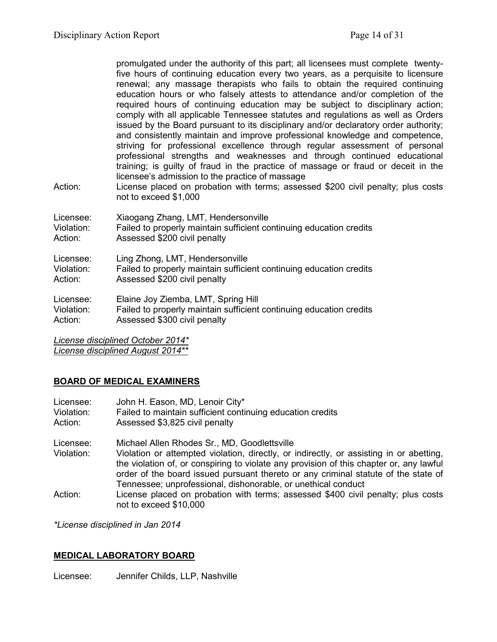promulgated under the authority of this part; all licensees must complete twentyfive hours of continuing education every two years, as a perquisite to licensure renewal; any massage therapists who fails to obtain the required continuing education hours or who falsely attests to attendance and/or completion of the required hours of continuing education may be subject to disciplinary action; comply with all applicable Tennessee statutes and regulations as well as Orders issued by the Board pursuant to its disciplinary and/or declaratory order authority; and consistently maintain and improve professional knowledge and competence, striving for professional excellence through regular assessment of personal professional strengths and weaknesses and through continued educational training; is guilty of fraud in the practice of massage or fraud or deceit in the licensee's admission to the practice of massage

Action: License placed on probation with terms; assessed \$200 civil penalty; plus costs not to exceed \$1,000

| Licensee:  | Xiaogang Zhang, LMT, Hendersonville                                 |
|------------|---------------------------------------------------------------------|
| Violation: | Failed to properly maintain sufficient continuing education credits |
| Action:    | Assessed \$200 civil penalty                                        |
| Licensee:  | Ling Zhong, LMT, Hendersonville                                     |
| Violation: | Failed to properly maintain sufficient continuing education credits |
| Action:    | Assessed \$200 civil penalty                                        |
| Licensee:  | Elaine Joy Ziemba, LMT, Spring Hill                                 |
| Violation: | Failed to properly maintain sufficient continuing education credits |
| Action:    | Assessed \$300 civil penalty                                        |

*License disciplined October 2014\* License disciplined August 2014\*\**

# **BOARD OF MEDICAL EXAMINERS**

| Licensee:<br>Violation:<br>Action: | John H. Eason, MD, Lenoir City*<br>Failed to maintain sufficient continuing education credits<br>Assessed \$3,825 civil penalty                                                                                                                                                                                          |
|------------------------------------|--------------------------------------------------------------------------------------------------------------------------------------------------------------------------------------------------------------------------------------------------------------------------------------------------------------------------|
| Licensee:<br>Violation:            | Michael Allen Rhodes Sr., MD, Goodlettsville<br>Violation or attempted violation, directly, or indirectly, or assisting in or abetting,<br>the violation of, or conspiring to violate any provision of this chapter or, any lawful<br>order of the board issued pursuant thereto or any criminal statute of the state of |
|                                    | Tennessee; unprofessional, dishonorable, or unethical conduct                                                                                                                                                                                                                                                            |
| Action:                            | License placed on probation with terms; assessed \$400 civil penalty; plus costs<br>not to exceed \$10,000                                                                                                                                                                                                               |

*\*License disciplined in Jan 2014*

#### **MEDICAL LABORATORY BOARD**

Licensee: Jennifer Childs, LLP, Nashville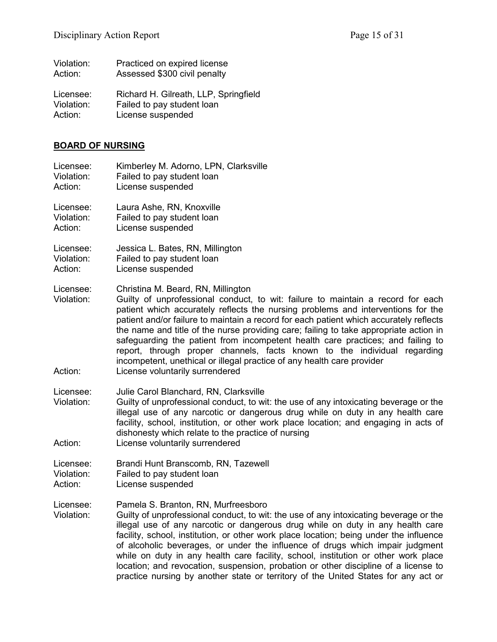| Violation: | Practiced on expired license          |
|------------|---------------------------------------|
| Action:    | Assessed \$300 civil penalty          |
| Licensee:  | Richard H. Gilreath, LLP, Springfield |
| Violation: | Failed to pay student loan            |
| Action:    | License suspended                     |

# **BOARD OF NURSING**

| Licensee:                          | Kimberley M. Adorno, LPN, Clarksville                                                                                                                                                                                                                                                                                                                                                                                                                                                                                                                                                                                                                                    |
|------------------------------------|--------------------------------------------------------------------------------------------------------------------------------------------------------------------------------------------------------------------------------------------------------------------------------------------------------------------------------------------------------------------------------------------------------------------------------------------------------------------------------------------------------------------------------------------------------------------------------------------------------------------------------------------------------------------------|
| Violation:                         | Failed to pay student loan                                                                                                                                                                                                                                                                                                                                                                                                                                                                                                                                                                                                                                               |
| Action:                            | License suspended                                                                                                                                                                                                                                                                                                                                                                                                                                                                                                                                                                                                                                                        |
| Licensee:                          | Laura Ashe, RN, Knoxville                                                                                                                                                                                                                                                                                                                                                                                                                                                                                                                                                                                                                                                |
| Violation:                         | Failed to pay student loan                                                                                                                                                                                                                                                                                                                                                                                                                                                                                                                                                                                                                                               |
| Action:                            | License suspended                                                                                                                                                                                                                                                                                                                                                                                                                                                                                                                                                                                                                                                        |
| Licensee:                          | Jessica L. Bates, RN, Millington                                                                                                                                                                                                                                                                                                                                                                                                                                                                                                                                                                                                                                         |
| Violation:                         | Failed to pay student loan                                                                                                                                                                                                                                                                                                                                                                                                                                                                                                                                                                                                                                               |
| Action:                            | License suspended                                                                                                                                                                                                                                                                                                                                                                                                                                                                                                                                                                                                                                                        |
| Licensee:<br>Violation:<br>Action: | Christina M. Beard, RN, Millington<br>Guilty of unprofessional conduct, to wit: failure to maintain a record for each<br>patient which accurately reflects the nursing problems and interventions for the<br>patient and/or failure to maintain a record for each patient which accurately reflects<br>the name and title of the nurse providing care; failing to take appropriate action in<br>safeguarding the patient from incompetent health care practices; and failing to<br>report, through proper channels, facts known to the individual regarding<br>incompetent, unethical or illegal practice of any health care provider<br>License voluntarily surrendered |
| Licensee:<br>Violation:<br>Action: | Julie Carol Blanchard, RN, Clarksville<br>Guilty of unprofessional conduct, to wit: the use of any intoxicating beverage or the<br>illegal use of any narcotic or dangerous drug while on duty in any health care<br>facility, school, institution, or other work place location; and engaging in acts of<br>dishonesty which relate to the practice of nursing<br>License voluntarily surrendered                                                                                                                                                                                                                                                                       |
| Licensee:                          | Brandi Hunt Branscomb, RN, Tazewell                                                                                                                                                                                                                                                                                                                                                                                                                                                                                                                                                                                                                                      |
| Violation:                         | Failed to pay student loan                                                                                                                                                                                                                                                                                                                                                                                                                                                                                                                                                                                                                                               |
| Action:                            | License suspended                                                                                                                                                                                                                                                                                                                                                                                                                                                                                                                                                                                                                                                        |
| Licensee:<br>Violation:            | Pamela S. Branton, RN, Murfreesboro<br>Guilty of unprofessional conduct, to wit: the use of any intoxicating beverage or the<br>illegal use of any narcotic or dangerous drug while on duty in any health care<br>facility, school, institution, or other work place location; being under the influence<br>of alcoholic beverages, or under the influence of drugs which impair judgment<br>while on duty in any health care facility, school, institution or other work place<br>location; and revocation, suspension, probation or other discipline of a license to<br>practice nursing by another state or territory of the United States for any act or             |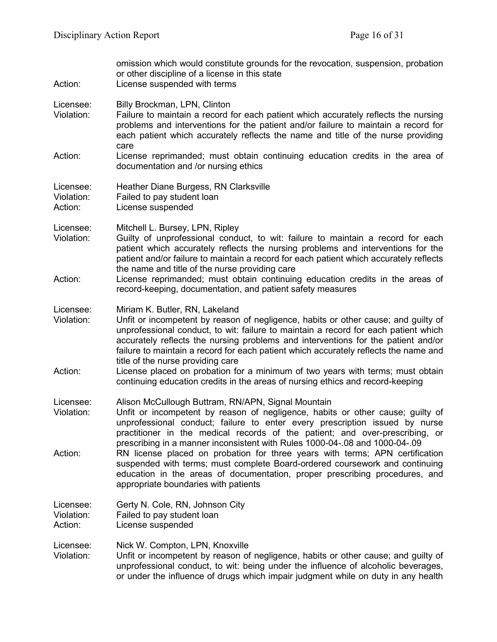| Action:                            | omission which would constitute grounds for the revocation, suspension, probation<br>or other discipline of a license in this state<br>License suspended with terms                                                                                                                                                                                                                                                                                                                               |
|------------------------------------|---------------------------------------------------------------------------------------------------------------------------------------------------------------------------------------------------------------------------------------------------------------------------------------------------------------------------------------------------------------------------------------------------------------------------------------------------------------------------------------------------|
| Licensee:<br>Violation:            | Billy Brockman, LPN, Clinton<br>Failure to maintain a record for each patient which accurately reflects the nursing<br>problems and interventions for the patient and/or failure to maintain a record for<br>each patient which accurately reflects the name and title of the nurse providing<br>care                                                                                                                                                                                             |
| Action:                            | License reprimanded; must obtain continuing education credits in the area of<br>documentation and /or nursing ethics                                                                                                                                                                                                                                                                                                                                                                              |
| Licensee:<br>Violation:<br>Action: | Heather Diane Burgess, RN Clarksville<br>Failed to pay student loan<br>License suspended                                                                                                                                                                                                                                                                                                                                                                                                          |
| Licensee:<br>Violation:<br>Action: | Mitchell L. Bursey, LPN, Ripley<br>Guilty of unprofessional conduct, to wit: failure to maintain a record for each<br>patient which accurately reflects the nursing problems and interventions for the<br>patient and/or failure to maintain a record for each patient which accurately reflects<br>the name and title of the nurse providing care<br>License reprimanded; must obtain continuing education credits in the areas of<br>record-keeping, documentation, and patient safety measures |
| Licensee:<br>Violation:            | Miriam K. Butler, RN, Lakeland<br>Unfit or incompetent by reason of negligence, habits or other cause; and guilty of<br>unprofessional conduct, to wit: failure to maintain a record for each patient which<br>accurately reflects the nursing problems and interventions for the patient and/or<br>failure to maintain a record for each patient which accurately reflects the name and<br>title of the nurse providing care                                                                     |
| Action:                            | License placed on probation for a minimum of two years with terms; must obtain<br>continuing education credits in the areas of nursing ethics and record-keeping                                                                                                                                                                                                                                                                                                                                  |
| Licensee:<br>Violation:            | Alison McCullough Buttram, RN/APN, Signal Mountain<br>Unfit or incompetent by reason of negligence, habits or other cause; guilty of<br>unprofessional conduct; failure to enter every prescription issued by nurse<br>practitioner in the medical records of the patient; and over-prescribing, or<br>prescribing in a manner inconsistent with Rules 1000-04-.08 and 1000-04-.09                                                                                                                |
| Action:                            | RN license placed on probation for three years with terms; APN certification<br>suspended with terms; must complete Board-ordered coursework and continuing<br>education in the areas of documentation, proper prescribing procedures, and<br>appropriate boundaries with patients                                                                                                                                                                                                                |
| Licensee:<br>Violation:<br>Action: | Gerty N. Cole, RN, Johnson City<br>Failed to pay student loan<br>License suspended                                                                                                                                                                                                                                                                                                                                                                                                                |
| Licensee:<br>Violation:            | Nick W. Compton, LPN, Knoxville<br>Unfit or incompetent by reason of negligence, habits or other cause; and guilty of<br>unprofessional conduct, to wit: being under the influence of alcoholic beverages,<br>or under the influence of drugs which impair judgment while on duty in any health                                                                                                                                                                                                   |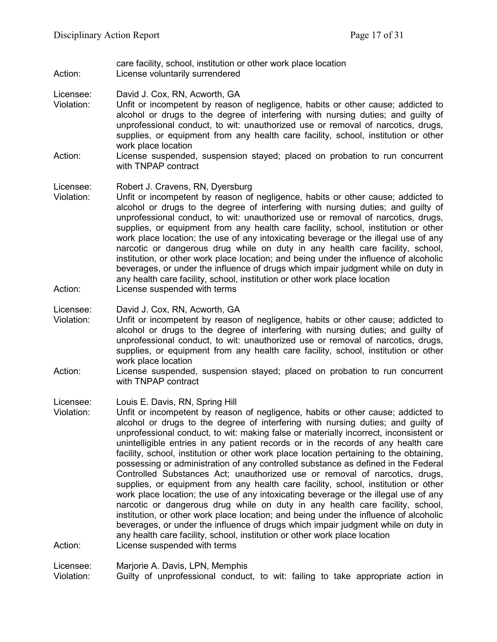care facility, school, institution or other work place location Action: License voluntarily surrendered

Licensee: David J. Cox, RN, Acworth, GA

- Violation: Unfit or incompetent by reason of negligence, habits or other cause; addicted to alcohol or drugs to the degree of interfering with nursing duties; and guilty of unprofessional conduct, to wit: unauthorized use or removal of narcotics, drugs, supplies, or equipment from any health care facility, school, institution or other work place location
- Action: License suspended, suspension stayed; placed on probation to run concurrent with TNPAP contract

Licensee: Robert J. Cravens, RN, Dyersburg

- Violation: Unfit or incompetent by reason of negligence, habits or other cause; addicted to alcohol or drugs to the degree of interfering with nursing duties; and guilty of unprofessional conduct, to wit: unauthorized use or removal of narcotics, drugs, supplies, or equipment from any health care facility, school, institution or other work place location; the use of any intoxicating beverage or the illegal use of any narcotic or dangerous drug while on duty in any health care facility, school, institution, or other work place location; and being under the influence of alcoholic beverages, or under the influence of drugs which impair judgment while on duty in any health care facility, school, institution or other work place location
- Action: License suspended with terms

Licensee: David J. Cox, RN, Acworth, GA

- Violation: Unfit or incompetent by reason of negligence, habits or other cause; addicted to alcohol or drugs to the degree of interfering with nursing duties; and guilty of unprofessional conduct, to wit: unauthorized use or removal of narcotics, drugs, supplies, or equipment from any health care facility, school, institution or other work place location
- Action: License suspended, suspension stayed; placed on probation to run concurrent with TNPAP contract

Licensee: Louis E. Davis, RN, Spring Hill

Violation: Unfit or incompetent by reason of negligence, habits or other cause; addicted to alcohol or drugs to the degree of interfering with nursing duties; and guilty of unprofessional conduct, to wit: making false or materially incorrect, inconsistent or unintelligible entries in any patient records or in the records of any health care facility, school, institution or other work place location pertaining to the obtaining, possessing or administration of any controlled substance as defined in the Federal Controlled Substances Act; unauthorized use or removal of narcotics, drugs, supplies, or equipment from any health care facility, school, institution or other work place location; the use of any intoxicating beverage or the illegal use of any narcotic or dangerous drug while on duty in any health care facility, school, institution, or other work place location; and being under the influence of alcoholic beverages, or under the influence of drugs which impair judgment while on duty in any health care facility, school, institution or other work place location Action: License suspended with terms

Licensee: Marjorie A. Davis, LPN, Memphis

Violation: Guilty of unprofessional conduct, to wit: failing to take appropriate action in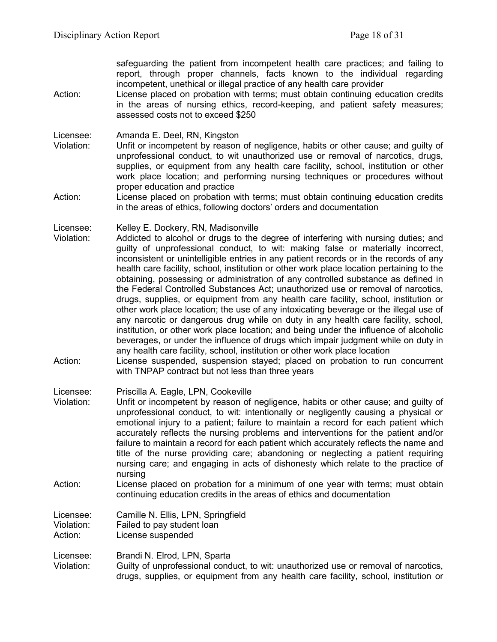safeguarding the patient from incompetent health care practices; and failing to report, through proper channels, facts known to the individual regarding incompetent, unethical or illegal practice of any health care provider

Action: License placed on probation with terms; must obtain continuing education credits in the areas of nursing ethics, record-keeping, and patient safety measures; assessed costs not to exceed \$250

Licensee: Amanda E. Deel, RN, Kingston

- Violation: Unfit or incompetent by reason of negligence, habits or other cause; and guilty of unprofessional conduct, to wit unauthorized use or removal of narcotics, drugs, supplies, or equipment from any health care facility, school, institution or other work place location; and performing nursing techniques or procedures without proper education and practice
- Action: License placed on probation with terms; must obtain continuing education credits in the areas of ethics, following doctors' orders and documentation

Licensee: Kelley E. Dockery, RN, Madisonville<br>Violation: Addicted to alcohol or drugs to the

- Addicted to alcohol or drugs to the degree of interfering with nursing duties; and guilty of unprofessional conduct, to wit: making false or materially incorrect, inconsistent or unintelligible entries in any patient records or in the records of any health care facility, school, institution or other work place location pertaining to the obtaining, possessing or administration of any controlled substance as defined in the Federal Controlled Substances Act; unauthorized use or removal of narcotics, drugs, supplies, or equipment from any health care facility, school, institution or other work place location; the use of any intoxicating beverage or the illegal use of any narcotic or dangerous drug while on duty in any health care facility, school, institution, or other work place location; and being under the influence of alcoholic beverages, or under the influence of drugs which impair judgment while on duty in any health care facility, school, institution or other work place location
- Action: License suspended, suspension stayed; placed on probation to run concurrent with TNPAP contract but not less than three years

Licensee: Priscilla A. Eagle, LPN, Cookeville

- Violation: Unfit or incompetent by reason of negligence, habits or other cause; and guilty of unprofessional conduct, to wit: intentionally or negligently causing a physical or emotional injury to a patient; failure to maintain a record for each patient which accurately reflects the nursing problems and interventions for the patient and/or failure to maintain a record for each patient which accurately reflects the name and title of the nurse providing care; abandoning or neglecting a patient requiring nursing care; and engaging in acts of dishonesty which relate to the practice of nursing
- Action: License placed on probation for a minimum of one year with terms; must obtain continuing education credits in the areas of ethics and documentation

Licensee: Camille N. Ellis, LPN, Springfield Violation: Failed to pay student loan Action: License suspended

Licensee: Brandi N. Elrod, LPN, Sparta

Violation: Guilty of unprofessional conduct, to wit: unauthorized use or removal of narcotics, drugs, supplies, or equipment from any health care facility, school, institution or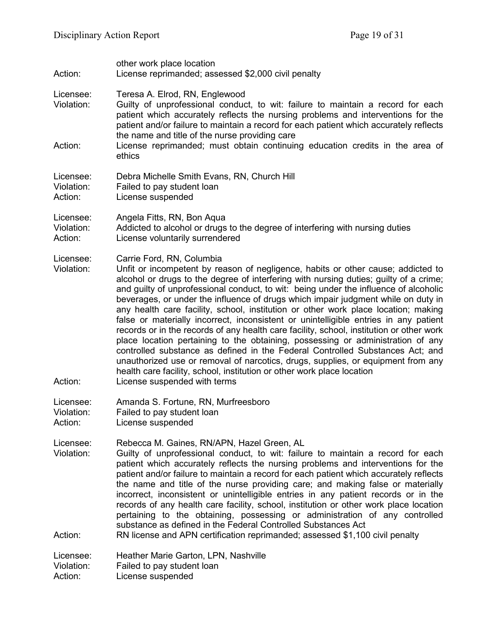| Action:                            | other work place location<br>License reprimanded; assessed \$2,000 civil penalty                                                                                                                                                                                                                                                                                                                                                                                                                                                                                                                                                                                                                                                                                                                                                                                                                                                                                                                                                |
|------------------------------------|---------------------------------------------------------------------------------------------------------------------------------------------------------------------------------------------------------------------------------------------------------------------------------------------------------------------------------------------------------------------------------------------------------------------------------------------------------------------------------------------------------------------------------------------------------------------------------------------------------------------------------------------------------------------------------------------------------------------------------------------------------------------------------------------------------------------------------------------------------------------------------------------------------------------------------------------------------------------------------------------------------------------------------|
| Licensee:<br>Violation:            | Teresa A. Elrod, RN, Englewood<br>Guilty of unprofessional conduct, to wit: failure to maintain a record for each<br>patient which accurately reflects the nursing problems and interventions for the<br>patient and/or failure to maintain a record for each patient which accurately reflects<br>the name and title of the nurse providing care                                                                                                                                                                                                                                                                                                                                                                                                                                                                                                                                                                                                                                                                               |
| Action:                            | License reprimanded; must obtain continuing education credits in the area of<br>ethics                                                                                                                                                                                                                                                                                                                                                                                                                                                                                                                                                                                                                                                                                                                                                                                                                                                                                                                                          |
| Licensee:<br>Violation:<br>Action: | Debra Michelle Smith Evans, RN, Church Hill<br>Failed to pay student loan<br>License suspended                                                                                                                                                                                                                                                                                                                                                                                                                                                                                                                                                                                                                                                                                                                                                                                                                                                                                                                                  |
| Licensee:<br>Violation:<br>Action: | Angela Fitts, RN, Bon Aqua<br>Addicted to alcohol or drugs to the degree of interfering with nursing duties<br>License voluntarily surrendered                                                                                                                                                                                                                                                                                                                                                                                                                                                                                                                                                                                                                                                                                                                                                                                                                                                                                  |
| Licensee:<br>Violation:<br>Action: | Carrie Ford, RN, Columbia<br>Unfit or incompetent by reason of negligence, habits or other cause; addicted to<br>alcohol or drugs to the degree of interfering with nursing duties; guilty of a crime;<br>and guilty of unprofessional conduct, to wit: being under the influence of alcoholic<br>beverages, or under the influence of drugs which impair judgment while on duty in<br>any health care facility, school, institution or other work place location; making<br>false or materially incorrect, inconsistent or unintelligible entries in any patient<br>records or in the records of any health care facility, school, institution or other work<br>place location pertaining to the obtaining, possessing or administration of any<br>controlled substance as defined in the Federal Controlled Substances Act; and<br>unauthorized use or removal of narcotics, drugs, supplies, or equipment from any<br>health care facility, school, institution or other work place location<br>License suspended with terms |
| Licensee:<br>Violation:<br>Action: | Amanda S. Fortune, RN, Murfreesboro<br>Failed to pay student loan<br>License suspended                                                                                                                                                                                                                                                                                                                                                                                                                                                                                                                                                                                                                                                                                                                                                                                                                                                                                                                                          |
| Licensee:<br>Violation:            | Rebecca M. Gaines, RN/APN, Hazel Green, AL<br>Guilty of unprofessional conduct, to wit: failure to maintain a record for each<br>patient which accurately reflects the nursing problems and interventions for the<br>patient and/or failure to maintain a record for each patient which accurately reflects<br>the name and title of the nurse providing care; and making false or materially<br>incorrect, inconsistent or unintelligible entries in any patient records or in the<br>records of any health care facility, school, institution or other work place location<br>pertaining to the obtaining, possessing or administration of any controlled<br>substance as defined in the Federal Controlled Substances Act                                                                                                                                                                                                                                                                                                    |
| Action:                            | RN license and APN certification reprimanded; assessed \$1,100 civil penalty                                                                                                                                                                                                                                                                                                                                                                                                                                                                                                                                                                                                                                                                                                                                                                                                                                                                                                                                                    |
| Licensee:<br>Violation:<br>Action: | Heather Marie Garton, LPN, Nashville<br>Failed to pay student loan<br>License suspended                                                                                                                                                                                                                                                                                                                                                                                                                                                                                                                                                                                                                                                                                                                                                                                                                                                                                                                                         |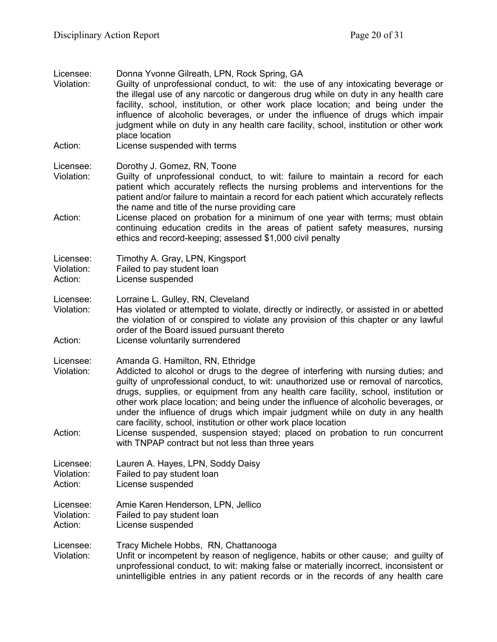| Licensee:<br>Violation:            | Donna Yvonne Gilreath, LPN, Rock Spring, GA<br>Guilty of unprofessional conduct, to wit: the use of any intoxicating beverage or<br>the illegal use of any narcotic or dangerous drug while on duty in any health care<br>facility, school, institution, or other work place location; and being under the<br>influence of alcoholic beverages, or under the influence of drugs which impair<br>judgment while on duty in any health care facility, school, institution or other work<br>place location                                                                                                                                                                              |
|------------------------------------|--------------------------------------------------------------------------------------------------------------------------------------------------------------------------------------------------------------------------------------------------------------------------------------------------------------------------------------------------------------------------------------------------------------------------------------------------------------------------------------------------------------------------------------------------------------------------------------------------------------------------------------------------------------------------------------|
| Action:                            | License suspended with terms                                                                                                                                                                                                                                                                                                                                                                                                                                                                                                                                                                                                                                                         |
| Licensee:<br>Violation:            | Dorothy J. Gomez, RN, Toone<br>Guilty of unprofessional conduct, to wit: failure to maintain a record for each<br>patient which accurately reflects the nursing problems and interventions for the<br>patient and/or failure to maintain a record for each patient which accurately reflects                                                                                                                                                                                                                                                                                                                                                                                         |
| Action:                            | the name and title of the nurse providing care<br>License placed on probation for a minimum of one year with terms; must obtain<br>continuing education credits in the areas of patient safety measures, nursing<br>ethics and record-keeping; assessed \$1,000 civil penalty                                                                                                                                                                                                                                                                                                                                                                                                        |
| Licensee:<br>Violation:<br>Action: | Timothy A. Gray, LPN, Kingsport<br>Failed to pay student loan<br>License suspended                                                                                                                                                                                                                                                                                                                                                                                                                                                                                                                                                                                                   |
| Licensee:<br>Violation:<br>Action: | Lorraine L. Gulley, RN, Cleveland<br>Has violated or attempted to violate, directly or indirectly, or assisted in or abetted<br>the violation of or conspired to violate any provision of this chapter or any lawful<br>order of the Board issued pursuant thereto<br>License voluntarily surrendered                                                                                                                                                                                                                                                                                                                                                                                |
| Licensee:<br>Violation:<br>Action: | Amanda G. Hamilton, RN, Ethridge<br>Addicted to alcohol or drugs to the degree of interfering with nursing duties; and<br>guilty of unprofessional conduct, to wit: unauthorized use or removal of narcotics,<br>drugs, supplies, or equipment from any health care facility, school, institution or<br>other work place location; and being under the influence of alcoholic beverages, or<br>under the influence of drugs which impair judgment while on duty in any health<br>care facility, school, institution or other work place location<br>License suspended, suspension stayed; placed on probation to run concurrent<br>with TNPAP contract but not less than three years |
| Licensee:<br>Violation:<br>Action: | Lauren A. Hayes, LPN, Soddy Daisy<br>Failed to pay student loan<br>License suspended                                                                                                                                                                                                                                                                                                                                                                                                                                                                                                                                                                                                 |
| Licensee:<br>Violation:<br>Action: | Amie Karen Henderson, LPN, Jellico<br>Failed to pay student loan<br>License suspended                                                                                                                                                                                                                                                                                                                                                                                                                                                                                                                                                                                                |
| Licensee:<br>Violation:            | Tracy Michele Hobbs, RN, Chattanooga<br>Unfit or incompetent by reason of negligence, habits or other cause; and guilty of<br>unprofessional conduct, to wit: making false or materially incorrect, inconsistent or<br>unintelligible entries in any patient records or in the records of any health care                                                                                                                                                                                                                                                                                                                                                                            |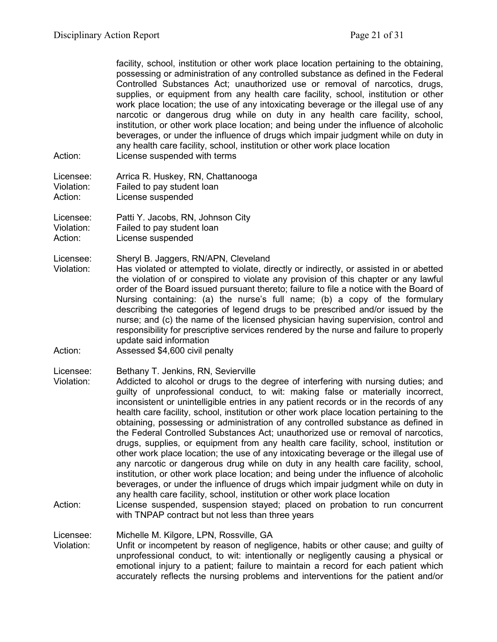facility, school, institution or other work place location pertaining to the obtaining, possessing or administration of any controlled substance as defined in the Federal Controlled Substances Act; unauthorized use or removal of narcotics, drugs, supplies, or equipment from any health care facility, school, institution or other work place location; the use of any intoxicating beverage or the illegal use of any narcotic or dangerous drug while on duty in any health care facility, school, institution, or other work place location; and being under the influence of alcoholic beverages, or under the influence of drugs which impair judgment while on duty in any health care facility, school, institution or other work place location

Action: License suspended with terms

| Licensee:  | Arrica R. Huskey, RN, Chattanooga |
|------------|-----------------------------------|
| Violation: | Failed to pay student loan        |
| Action:    | License suspended                 |

Licensee: Patti Y. Jacobs, RN, Johnson City Violation: Failed to pay student loan

Action: License suspended

Licensee: Sheryl B. Jaggers, RN/APN, Cleveland

- Violation: Has violated or attempted to violate, directly or indirectly, or assisted in or abetted the violation of or conspired to violate any provision of this chapter or any lawful order of the Board issued pursuant thereto; failure to file a notice with the Board of Nursing containing: (a) the nurse's full name; (b) a copy of the formulary describing the categories of legend drugs to be prescribed and/or issued by the nurse; and (c) the name of the licensed physician having supervision, control and responsibility for prescriptive services rendered by the nurse and failure to properly update said information
- Action: Assessed \$4,600 civil penalty

Licensee: Bethany T. Jenkins, RN, Sevierville

- Violation: Addicted to alcohol or drugs to the degree of interfering with nursing duties; and guilty of unprofessional conduct, to wit: making false or materially incorrect, inconsistent or unintelligible entries in any patient records or in the records of any health care facility, school, institution or other work place location pertaining to the obtaining, possessing or administration of any controlled substance as defined in the Federal Controlled Substances Act; unauthorized use or removal of narcotics, drugs, supplies, or equipment from any health care facility, school, institution or other work place location; the use of any intoxicating beverage or the illegal use of any narcotic or dangerous drug while on duty in any health care facility, school, institution, or other work place location; and being under the influence of alcoholic beverages, or under the influence of drugs which impair judgment while on duty in any health care facility, school, institution or other work place location
- Action: License suspended, suspension stayed; placed on probation to run concurrent with TNPAP contract but not less than three years

Licensee: Michelle M. Kilgore, LPN, Rossville, GA<br>Violation: Unfit or incompetent by reason of neglic

Unfit or incompetent by reason of negligence, habits or other cause; and guilty of unprofessional conduct, to wit: intentionally or negligently causing a physical or emotional injury to a patient; failure to maintain a record for each patient which accurately reflects the nursing problems and interventions for the patient and/or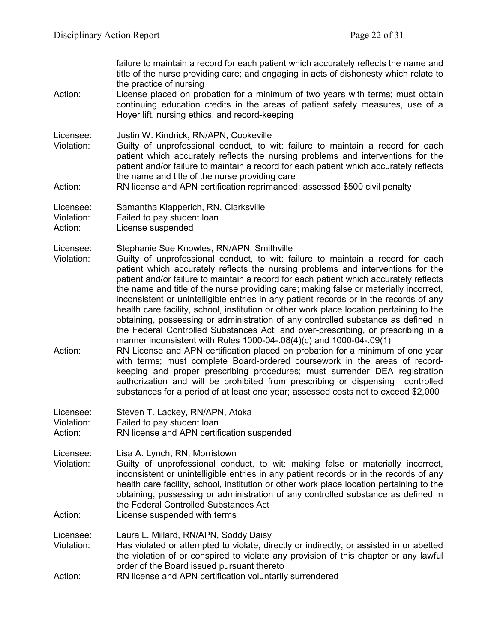failure to maintain a record for each patient which accurately reflects the name and title of the nurse providing care; and engaging in acts of dishonesty which relate to the practice of nursing Action: License placed on probation for a minimum of two years with terms; must obtain continuing education credits in the areas of patient safety measures, use of a Hoyer lift, nursing ethics, and record-keeping Licensee: Justin W. Kindrick, RN/APN, Cookeville Violation: Guilty of unprofessional conduct, to wit: failure to maintain a record for each patient which accurately reflects the nursing problems and interventions for the patient and/or failure to maintain a record for each patient which accurately reflects the name and title of the nurse providing care Action: RN license and APN certification reprimanded; assessed \$500 civil penalty Licensee: Samantha Klapperich, RN, Clarksville Violation: Failed to pay student loan Action: License suspended Licensee: Stephanie Sue Knowles, RN/APN, Smithville Violation: Guilty of unprofessional conduct, to wit: failure to maintain a record for each patient which accurately reflects the nursing problems and interventions for the patient and/or failure to maintain a record for each patient which accurately reflects the name and title of the nurse providing care; making false or materially incorrect, inconsistent or unintelligible entries in any patient records or in the records of any health care facility, school, institution or other work place location pertaining to the obtaining, possessing or administration of any controlled substance as defined in the Federal Controlled Substances Act; and over-prescribing, or prescribing in a manner inconsistent with Rules 1000-04-.08(4)(c) and 1000-04-.09(1) Action: RN License and APN certification placed on probation for a minimum of one year with terms; must complete Board-ordered coursework in the areas of recordkeeping and proper prescribing procedures; must surrender DEA registration authorization and will be prohibited from prescribing or dispensing controlled substances for a period of at least one year; assessed costs not to exceed \$2,000 Licensee: Steven T. Lackey, RN/APN, Atoka Violation: Failed to pay student loan Action: RN license and APN certification suspended Licensee: Lisa A. Lynch, RN, Morristown Violation: Guilty of unprofessional conduct, to wit: making false or materially incorrect, inconsistent or unintelligible entries in any patient records or in the records of any health care facility, school, institution or other work place location pertaining to the obtaining, possessing or administration of any controlled substance as defined in the Federal Controlled Substances Act Action: License suspended with terms Licensee: Laura L. Millard, RN/APN, Soddy Daisy Has violated or attempted to violate, directly or indirectly, or assisted in or abetted the violation of or conspired to violate any provision of this chapter or any lawful order of the Board issued pursuant thereto Action: RN license and APN certification voluntarily surrendered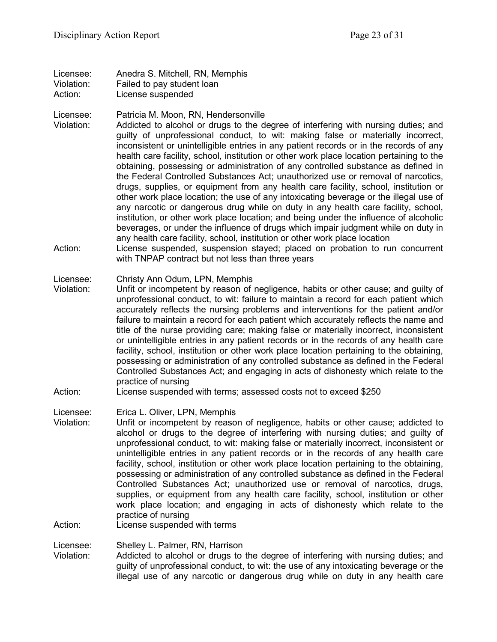Licensee: Anedra S. Mitchell, RN, Memphis Violation: Failed to pay student loan Action: License suspended

Licensee: Patricia M. Moon, RN, Hendersonville

- Violation: Addicted to alcohol or drugs to the degree of interfering with nursing duties; and guilty of unprofessional conduct, to wit: making false or materially incorrect, inconsistent or unintelligible entries in any patient records or in the records of any health care facility, school, institution or other work place location pertaining to the obtaining, possessing or administration of any controlled substance as defined in the Federal Controlled Substances Act; unauthorized use or removal of narcotics, drugs, supplies, or equipment from any health care facility, school, institution or other work place location; the use of any intoxicating beverage or the illegal use of any narcotic or dangerous drug while on duty in any health care facility, school, institution, or other work place location; and being under the influence of alcoholic beverages, or under the influence of drugs which impair judgment while on duty in any health care facility, school, institution or other work place location
- Action: License suspended, suspension stayed; placed on probation to run concurrent with TNPAP contract but not less than three years

Licensee: Christy Ann Odum, LPN, Memphis

- Violation: Unfit or incompetent by reason of negligence, habits or other cause; and guilty of unprofessional conduct, to wit: failure to maintain a record for each patient which accurately reflects the nursing problems and interventions for the patient and/or failure to maintain a record for each patient which accurately reflects the name and title of the nurse providing care; making false or materially incorrect, inconsistent or unintelligible entries in any patient records or in the records of any health care facility, school, institution or other work place location pertaining to the obtaining, possessing or administration of any controlled substance as defined in the Federal Controlled Substances Act; and engaging in acts of dishonesty which relate to the practice of nursing
- Action: License suspended with terms; assessed costs not to exceed \$250

Licensee: Erica L. Oliver, LPN, Memphis

Violation: Unfit or incompetent by reason of negligence, habits or other cause; addicted to alcohol or drugs to the degree of interfering with nursing duties; and guilty of unprofessional conduct, to wit: making false or materially incorrect, inconsistent or unintelligible entries in any patient records or in the records of any health care facility, school, institution or other work place location pertaining to the obtaining, possessing or administration of any controlled substance as defined in the Federal Controlled Substances Act; unauthorized use or removal of narcotics, drugs, supplies, or equipment from any health care facility, school, institution or other work place location; and engaging in acts of dishonesty which relate to the practice of nursing

Action: License suspended with terms

Licensee: Shelley L. Palmer, RN, Harrison

Violation: Addicted to alcohol or drugs to the degree of interfering with nursing duties; and guilty of unprofessional conduct, to wit: the use of any intoxicating beverage or the illegal use of any narcotic or dangerous drug while on duty in any health care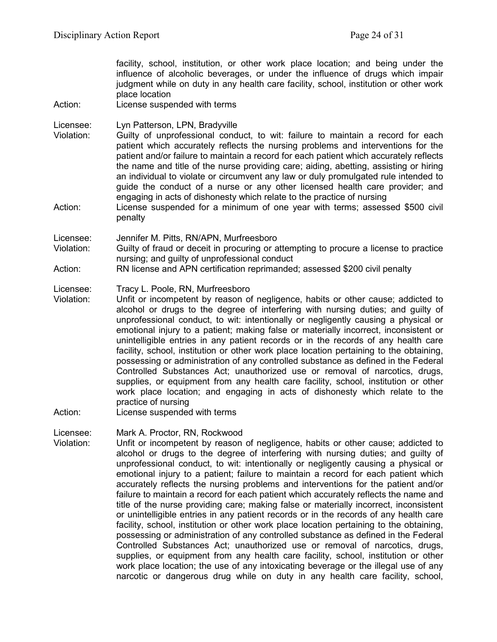facility, school, institution, or other work place location; and being under the influence of alcoholic beverages, or under the influence of drugs which impair judgment while on duty in any health care facility, school, institution or other work place location Action: License suspended with terms Licensee: Lyn Patterson, LPN, Bradyville Violation: Guilty of unprofessional conduct, to wit: failure to maintain a record for each patient which accurately reflects the nursing problems and interventions for the patient and/or failure to maintain a record for each patient which accurately reflects the name and title of the nurse providing care; aiding, abetting, assisting or hiring an individual to violate or circumvent any law or duly promulgated rule intended to guide the conduct of a nurse or any other licensed health care provider; and engaging in acts of dishonesty which relate to the practice of nursing Action: License suspended for a minimum of one year with terms; assessed \$500 civil penalty Licensee: Jennifer M. Pitts, RN/APN, Murfreesboro Violation: Guilty of fraud or deceit in procuring or attempting to procure a license to practice nursing; and guilty of unprofessional conduct Action: RN license and APN certification reprimanded; assessed \$200 civil penalty Licensee: Tracy L. Poole, RN, Murfreesboro Violation: Unfit or incompetent by reason of negligence, habits or other cause; addicted to alcohol or drugs to the degree of interfering with nursing duties; and guilty of unprofessional conduct, to wit: intentionally or negligently causing a physical or emotional injury to a patient; making false or materially incorrect, inconsistent or unintelligible entries in any patient records or in the records of any health care facility, school, institution or other work place location pertaining to the obtaining, possessing or administration of any controlled substance as defined in the Federal Controlled Substances Act; unauthorized use or removal of narcotics, drugs, supplies, or equipment from any health care facility, school, institution or other work place location; and engaging in acts of dishonesty which relate to the practice of nursing Action: License suspended with terms

Licensee: Mark A. Proctor, RN, Rockwood

Violation: Unfit or incompetent by reason of negligence, habits or other cause; addicted to alcohol or drugs to the degree of interfering with nursing duties; and guilty of unprofessional conduct, to wit: intentionally or negligently causing a physical or emotional injury to a patient; failure to maintain a record for each patient which accurately reflects the nursing problems and interventions for the patient and/or failure to maintain a record for each patient which accurately reflects the name and title of the nurse providing care; making false or materially incorrect, inconsistent or unintelligible entries in any patient records or in the records of any health care facility, school, institution or other work place location pertaining to the obtaining, possessing or administration of any controlled substance as defined in the Federal Controlled Substances Act; unauthorized use or removal of narcotics, drugs, supplies, or equipment from any health care facility, school, institution or other work place location; the use of any intoxicating beverage or the illegal use of any narcotic or dangerous drug while on duty in any health care facility, school,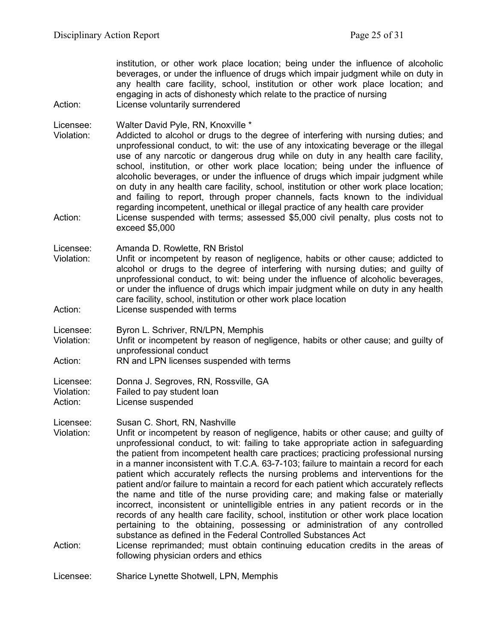institution, or other work place location; being under the influence of alcoholic beverages, or under the influence of drugs which impair judgment while on duty in any health care facility, school, institution or other work place location; and engaging in acts of dishonesty which relate to the practice of nursing Action: License voluntarily surrendered

Licensee: Walter David Pyle, RN, Knoxville \*

Violation: Addicted to alcohol or drugs to the degree of interfering with nursing duties; and unprofessional conduct, to wit: the use of any intoxicating beverage or the illegal use of any narcotic or dangerous drug while on duty in any health care facility, school, institution, or other work place location; being under the influence of alcoholic beverages, or under the influence of drugs which impair judgment while on duty in any health care facility, school, institution or other work place location; and failing to report, through proper channels, facts known to the individual regarding incompetent, unethical or illegal practice of any health care provider

Action: License suspended with terms; assessed \$5,000 civil penalty, plus costs not to exceed \$5,000

Licensee: Amanda D. Rowlette, RN Bristol

Violation: Unfit or incompetent by reason of negligence, habits or other cause; addicted to alcohol or drugs to the degree of interfering with nursing duties; and guilty of unprofessional conduct, to wit: being under the influence of alcoholic beverages, or under the influence of drugs which impair judgment while on duty in any health care facility, school, institution or other work place location Action: License suspended with terms

Licensee: Byron L. Schriver, RN/LPN, Memphis

Violation: Unfit or incompetent by reason of negligence, habits or other cause; and guilty of unprofessional conduct

Action: RN and LPN licenses suspended with terms

Licensee: Donna J. Segroves, RN, Rossville, GA Violation: Failed to pay student loan

Action: License suspended

Licensee: Susan C. Short, RN, Nashville

Violation: Unfit or incompetent by reason of negligence, habits or other cause; and guilty of unprofessional conduct, to wit: failing to take appropriate action in safeguarding the patient from incompetent health care practices; practicing professional nursing in a manner inconsistent with T.C.A. 63-7-103; failure to maintain a record for each patient which accurately reflects the nursing problems and interventions for the patient and/or failure to maintain a record for each patient which accurately reflects the name and title of the nurse providing care; and making false or materially incorrect, inconsistent or unintelligible entries in any patient records or in the records of any health care facility, school, institution or other work place location pertaining to the obtaining, possessing or administration of any controlled substance as defined in the Federal Controlled Substances Act

Action: License reprimanded; must obtain continuing education credits in the areas of following physician orders and ethics

Licensee: Sharice Lynette Shotwell, LPN, Memphis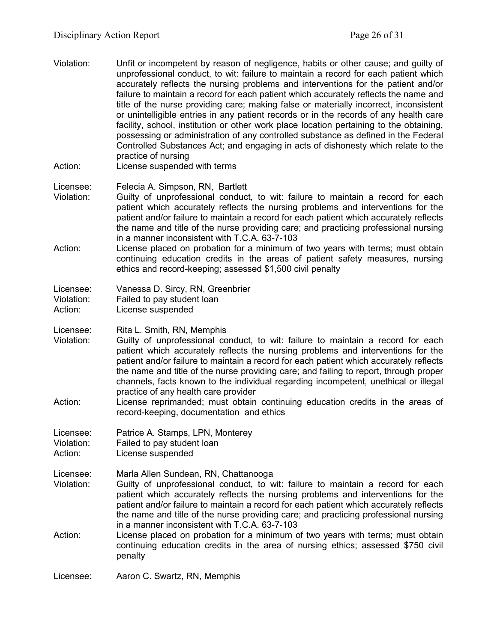- Violation: Unfit or incompetent by reason of negligence, habits or other cause; and guilty of unprofessional conduct, to wit: failure to maintain a record for each patient which accurately reflects the nursing problems and interventions for the patient and/or failure to maintain a record for each patient which accurately reflects the name and title of the nurse providing care; making false or materially incorrect, inconsistent or unintelligible entries in any patient records or in the records of any health care facility, school, institution or other work place location pertaining to the obtaining, possessing or administration of any controlled substance as defined in the Federal Controlled Substances Act; and engaging in acts of dishonesty which relate to the practice of nursing Action: License suspended with terms
- 
- Licensee: Felecia A. Simpson, RN, Bartlett Violation: Guilty of unprofessional conduct, to wit: failure to maintain a record for each patient which accurately reflects the nursing problems and interventions for the patient and/or failure to maintain a record for each patient which accurately reflects the name and title of the nurse providing care; and practicing professional nursing in a manner inconsistent with T.C.A. 63-7-103
- Action: License placed on probation for a minimum of two years with terms; must obtain continuing education credits in the areas of patient safety measures, nursing ethics and record-keeping; assessed \$1,500 civil penalty

| Licensee:  | Vanessa D. Sircy, RN, Greenbrier |
|------------|----------------------------------|
| Violation: | Failed to pay student loan       |
| Action:    | License suspended                |

Licensee: Rita L. Smith, RN, Memphis

- Violation: Guilty of unprofessional conduct, to wit: failure to maintain a record for each patient which accurately reflects the nursing problems and interventions for the patient and/or failure to maintain a record for each patient which accurately reflects the name and title of the nurse providing care; and failing to report, through proper channels, facts known to the individual regarding incompetent, unethical or illegal practice of any health care provider
- Action: License reprimanded; must obtain continuing education credits in the areas of record-keeping, documentation and ethics

Licensee: Patrice A. Stamps, LPN, Monterey

Violation: Failed to pay student loan

Action: License suspended

Licensee: Marla Allen Sundean, RN, Chattanooga

- Violation: Guilty of unprofessional conduct, to wit: failure to maintain a record for each patient which accurately reflects the nursing problems and interventions for the patient and/or failure to maintain a record for each patient which accurately reflects the name and title of the nurse providing care; and practicing professional nursing in a manner inconsistent with T.C.A. 63-7-103
- Action: License placed on probation for a minimum of two years with terms; must obtain continuing education credits in the area of nursing ethics; assessed \$750 civil penalty

Licensee: Aaron C. Swartz, RN, Memphis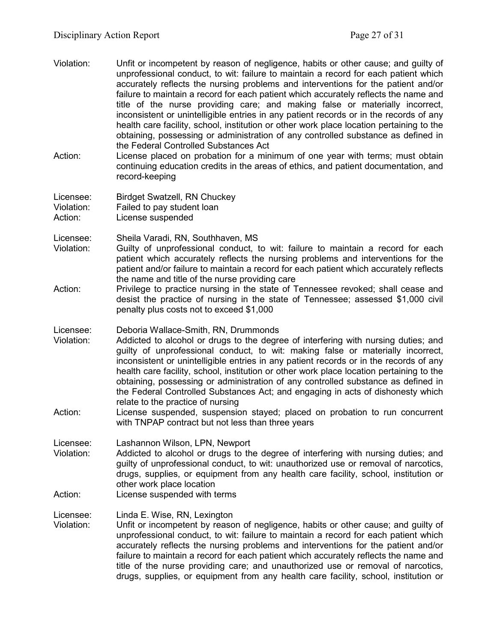- Violation: Unfit or incompetent by reason of negligence, habits or other cause; and guilty of unprofessional conduct, to wit: failure to maintain a record for each patient which accurately reflects the nursing problems and interventions for the patient and/or failure to maintain a record for each patient which accurately reflects the name and title of the nurse providing care; and making false or materially incorrect, inconsistent or unintelligible entries in any patient records or in the records of any health care facility, school, institution or other work place location pertaining to the obtaining, possessing or administration of any controlled substance as defined in the Federal Controlled Substances Act
- Action: License placed on probation for a minimum of one year with terms; must obtain continuing education credits in the areas of ethics, and patient documentation, and record-keeping

Licensee: Birdget Swatzell, RN Chuckey Violation: Failed to pay student loan Action: License suspended

- Licensee: Sheila Varadi, RN, Southhaven, MS
- Violation: Guilty of unprofessional conduct, to wit: failure to maintain a record for each patient which accurately reflects the nursing problems and interventions for the patient and/or failure to maintain a record for each patient which accurately reflects the name and title of the nurse providing care
- Action: Privilege to practice nursing in the state of Tennessee revoked; shall cease and desist the practice of nursing in the state of Tennessee; assessed \$1,000 civil penalty plus costs not to exceed \$1,000
- Licensee: Deboria Wallace-Smith, RN, Drummonds
- Violation: Addicted to alcohol or drugs to the degree of interfering with nursing duties; and guilty of unprofessional conduct, to wit: making false or materially incorrect, inconsistent or unintelligible entries in any patient records or in the records of any health care facility, school, institution or other work place location pertaining to the obtaining, possessing or administration of any controlled substance as defined in the Federal Controlled Substances Act; and engaging in acts of dishonesty which relate to the practice of nursing
- Action: License suspended, suspension stayed; placed on probation to run concurrent with TNPAP contract but not less than three years

Licensee: Lashannon Wilson, LPN, Newport

- Violation: Addicted to alcohol or drugs to the degree of interfering with nursing duties; and guilty of unprofessional conduct, to wit: unauthorized use or removal of narcotics, drugs, supplies, or equipment from any health care facility, school, institution or other work place location
- Action: License suspended with terms

Licensee: Linda E. Wise, RN, Lexington

Violation: Unfit or incompetent by reason of negligence, habits or other cause; and guilty of unprofessional conduct, to wit: failure to maintain a record for each patient which accurately reflects the nursing problems and interventions for the patient and/or failure to maintain a record for each patient which accurately reflects the name and title of the nurse providing care; and unauthorized use or removal of narcotics, drugs, supplies, or equipment from any health care facility, school, institution or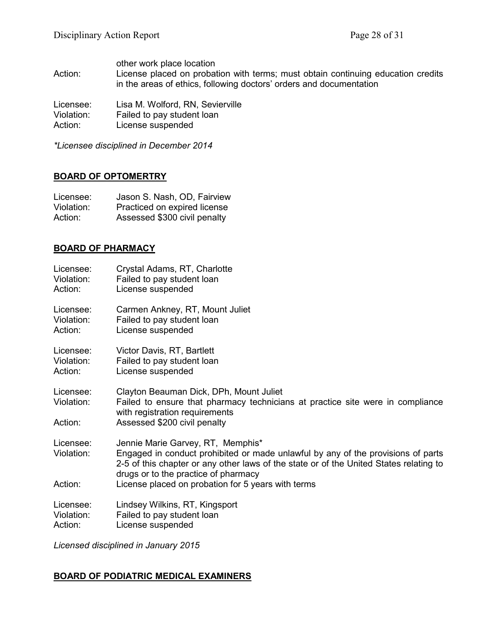other work place location

Action: License placed on probation with terms; must obtain continuing education credits in the areas of ethics, following doctors' orders and documentation

Licensee: Lisa M. Wolford, RN, Sevierville Violation: Failed to pay student loan<br>Action: License suspended License suspended

*\*Licensee disciplined in December 2014*

#### **BOARD OF OPTOMERTRY**

| Licensee:  | Jason S. Nash, OD, Fairview  |
|------------|------------------------------|
| Violation: | Practiced on expired license |
| Action:    | Assessed \$300 civil penalty |

#### **BOARD OF PHARMACY**

| Licensee:                          | Crystal Adams, RT, Charlotte                                                                                                                                                                                                                                                                                  |
|------------------------------------|---------------------------------------------------------------------------------------------------------------------------------------------------------------------------------------------------------------------------------------------------------------------------------------------------------------|
| Violation:                         | Failed to pay student loan                                                                                                                                                                                                                                                                                    |
| Action:                            | License suspended                                                                                                                                                                                                                                                                                             |
| Licensee:                          | Carmen Ankney, RT, Mount Juliet                                                                                                                                                                                                                                                                               |
| Violation:                         | Failed to pay student loan                                                                                                                                                                                                                                                                                    |
| Action:                            | License suspended                                                                                                                                                                                                                                                                                             |
| Licensee:                          | Victor Davis, RT, Bartlett                                                                                                                                                                                                                                                                                    |
| Violation:                         | Failed to pay student loan                                                                                                                                                                                                                                                                                    |
| Action:                            | License suspended                                                                                                                                                                                                                                                                                             |
| Licensee:<br>Violation:<br>Action: | Clayton Beauman Dick, DPh, Mount Juliet<br>Failed to ensure that pharmacy technicians at practice site were in compliance<br>with registration requirements<br>Assessed \$200 civil penalty                                                                                                                   |
| Licensee:<br>Violation:<br>Action: | Jennie Marie Garvey, RT, Memphis*<br>Engaged in conduct prohibited or made unlawful by any of the provisions of parts<br>2-5 of this chapter or any other laws of the state or of the United States relating to<br>drugs or to the practice of pharmacy<br>License placed on probation for 5 years with terms |
| Licensee:                          | Lindsey Wilkins, RT, Kingsport                                                                                                                                                                                                                                                                                |
| Violation:                         | Failed to pay student loan                                                                                                                                                                                                                                                                                    |
| Action:                            | License suspended                                                                                                                                                                                                                                                                                             |

*Licensed disciplined in January 2015*

# **BOARD OF PODIATRIC MEDICAL EXAMINERS**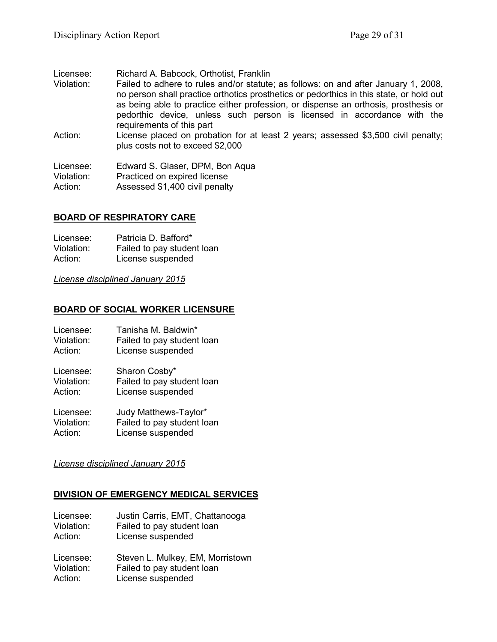Licensee: Richard A. Babcock, Orthotist, Franklin

- Violation: Failed to adhere to rules and/or statute; as follows: on and after January 1, 2008, no person shall practice orthotics prosthetics or pedorthics in this state, or hold out as being able to practice either profession, or dispense an orthosis, prosthesis or pedorthic device, unless such person is licensed in accordance with the requirements of this part
- Action: License placed on probation for at least 2 years; assessed \$3,500 civil penalty; plus costs not to exceed \$2,000

Licensee: Edward S. Glaser, DPM, Bon Aqua Violation: Practiced on expired license Action: Assessed \$1,400 civil penalty

#### **BOARD OF RESPIRATORY CARE**

| Licensee:  | Patricia D. Bafford*       |
|------------|----------------------------|
| Violation: | Failed to pay student loan |
| Action:    | License suspended          |

*License disciplined January 2015*

#### **BOARD OF SOCIAL WORKER LICENSURE**

| Licensee:  | Tanisha M. Baldwin*        |
|------------|----------------------------|
| Violation: | Failed to pay student loan |
| Action:    | License suspended          |
| Licensee:  | Sharon Cosby*              |
| Violation: | Failed to pay student loan |
| Action:    | License suspended          |

Licensee: Judy Matthews-Taylor\* Violation: Failed to pay student loan Action: License suspended

#### *License disciplined January 2015*

#### **DIVISION OF EMERGENCY MEDICAL SERVICES**

| Licensee:  | Justin Carris, EMT, Chattanooga  |
|------------|----------------------------------|
| Violation: | Failed to pay student loan       |
| Action:    | License suspended                |
| Licensee:  | Steven L. Mulkey, EM, Morristown |
| Violation: | Failed to pay student loan       |
| Action:    | License suspended                |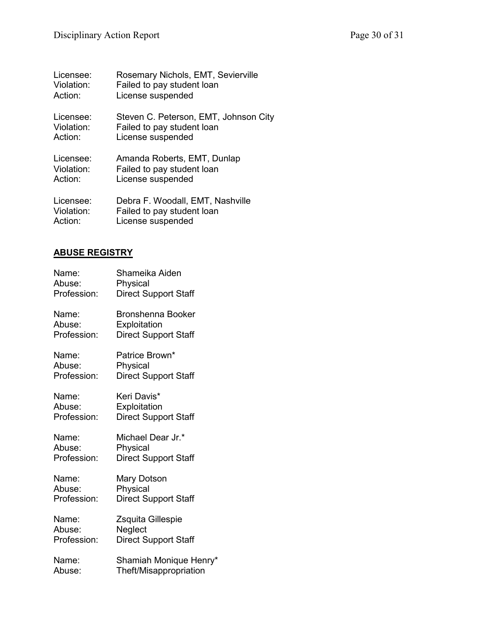| Licensee:  | Rosemary Nichols, EMT, Sevierville    |
|------------|---------------------------------------|
| Violation: | Failed to pay student loan            |
| Action:    | License suspended                     |
| Licensee:  | Steven C. Peterson, EMT, Johnson City |
| Violation: | Failed to pay student loan            |
| Action:    | License suspended                     |
| Licensee:  | Amanda Roberts, EMT, Dunlap           |
| Violation: | Failed to pay student loan            |
| Action:    | License suspended                     |
| Licensee:  | Debra F. Woodall, EMT, Nashville      |
| Violation: | Failed to pay student loan            |
| Action:    | License suspended                     |

# **ABUSE REGISTRY**

| Name:       | Shameika Aiden              |
|-------------|-----------------------------|
| Abuse:      | Physical                    |
| Profession: | <b>Direct Support Staff</b> |
| Name:       | <b>Bronshenna Booker</b>    |
| Abuse:      | Exploitation                |
| Profession: | <b>Direct Support Staff</b> |
| Name:       | Patrice Brown*              |
| Abuse:      | Physical                    |
| Profession: | <b>Direct Support Staff</b> |
| Name:       | Keri Davis*                 |
| Abuse:      | Exploitation                |
| Profession: | <b>Direct Support Staff</b> |
| Name:       | Michael Dear Jr.*           |
| Abuse:      | Physical                    |
| Profession: | <b>Direct Support Staff</b> |
| Name:       | Mary Dotson                 |
| Abuse:      | Physical                    |
| Profession: | <b>Direct Support Staff</b> |
| Name:       | Zsquita Gillespie           |
| Abuse:      | Neglect                     |
| Profession: | <b>Direct Support Staff</b> |
| Name:       | Shamiah Monique Henry*      |
| Abuse:      | Theft/Misappropriation      |